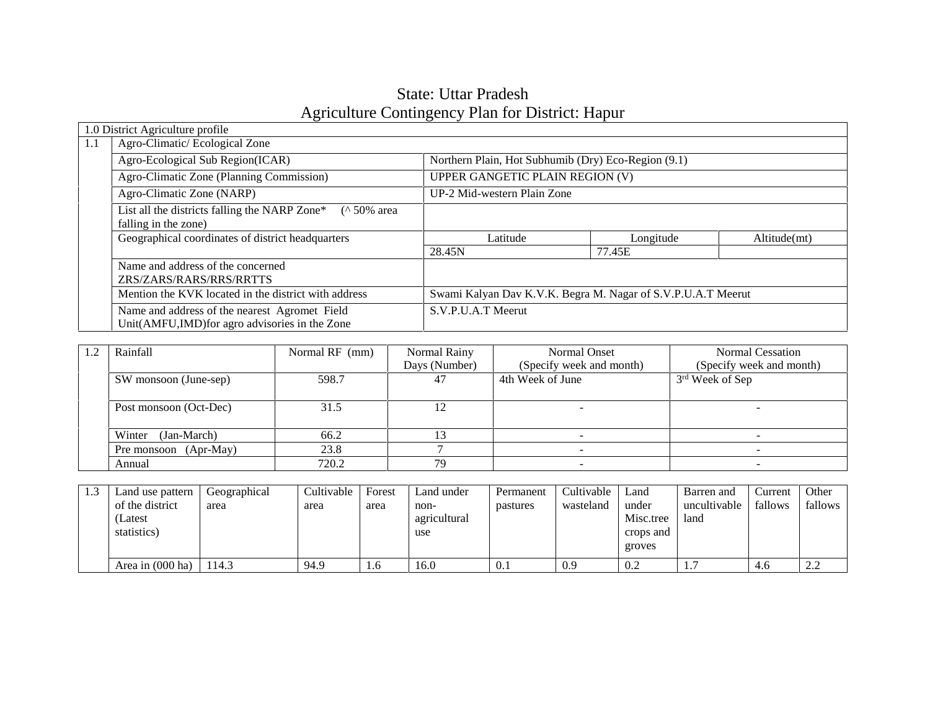# State: Uttar Pradesh Agriculture Contingency Plan for District: Hapur

|     | 1.0 District Agriculture profile                                                        |                                                     |                                                              |              |
|-----|-----------------------------------------------------------------------------------------|-----------------------------------------------------|--------------------------------------------------------------|--------------|
| 1.1 | Agro-Climatic/Ecological Zone                                                           |                                                     |                                                              |              |
|     | Agro-Ecological Sub Region(ICAR)                                                        | Northern Plain, Hot Subhumib (Dry) Eco-Region (9.1) |                                                              |              |
|     | Agro-Climatic Zone (Planning Commission)                                                | UPPER GANGETIC PLAIN REGION (V)                     |                                                              |              |
|     | Agro-Climatic Zone (NARP)                                                               | UP-2 Mid-western Plain Zone                         |                                                              |              |
|     | List all the districts falling the NARP Zone*<br>$($ ^ 50% area<br>falling in the zone) |                                                     |                                                              |              |
|     | Geographical coordinates of district headquarters                                       | Latitude                                            | Longitude                                                    | Altitude(mt) |
|     |                                                                                         | 28.45N                                              | 77.45E                                                       |              |
|     | Name and address of the concerned                                                       |                                                     |                                                              |              |
|     | ZRS/ZARS/RARS/RRS/RRTTS                                                                 |                                                     |                                                              |              |
|     | Mention the KVK located in the district with address                                    |                                                     | Swami Kalyan Dav K.V.K. Begra M. Nagar of S.V.P.U.A.T Meerut |              |
|     | Name and address of the nearest Agromet Field                                           | S.V.P.U.A.T Meerut                                  |                                                              |              |
|     | Unit(AMFU,IMD) for agro advisories in the Zone                                          |                                                     |                                                              |              |

| 1 າ | Rainfall               | Normal RF (mm) | Normal Rainy<br>Days (Number) | Normal Onset<br>(Specify week and month) | <b>Normal Cessation</b><br>(Specify week and month) |
|-----|------------------------|----------------|-------------------------------|------------------------------------------|-----------------------------------------------------|
|     | SW monsoon (June-sep)  | 598.7          | 47                            | 4th Week of June                         | 3 <sup>rd</sup> Week of Sep                         |
|     | Post monsoon (Oct-Dec) | 31.5           |                               |                                          |                                                     |
|     | (Jan-March)<br>Winter  | 66.2           |                               |                                          |                                                     |
|     | Pre monsoon (Apr-May)  | 23.8           |                               |                                          |                                                     |
|     | Annual                 | 720.2          | 79                            |                                          |                                                     |

| .3 | Land use pattern           | Geographical | Cultivable | Forest | Land under   | Permanent | Cultivable | Land      | Barren and   | Current | Other           |
|----|----------------------------|--------------|------------|--------|--------------|-----------|------------|-----------|--------------|---------|-----------------|
|    | of the district            | area         | area       | area   | non-         | pastures  | wasteland  | under     | uncultivable | fallows | fallows         |
|    | (Latest                    |              |            |        | agricultural |           |            | Misc.tree | land         |         |                 |
|    | statistics)                |              |            |        | use          |           |            | crops and |              |         |                 |
|    |                            |              |            |        |              |           |            | groves    |              |         |                 |
|    | Area in $(000 \text{ ha})$ | 114.3        | 94.9       | 1.6    | 16.0         | 0.1       | 0.9        | 0.2       |              | 4.6     | $\gamma$<br>4.4 |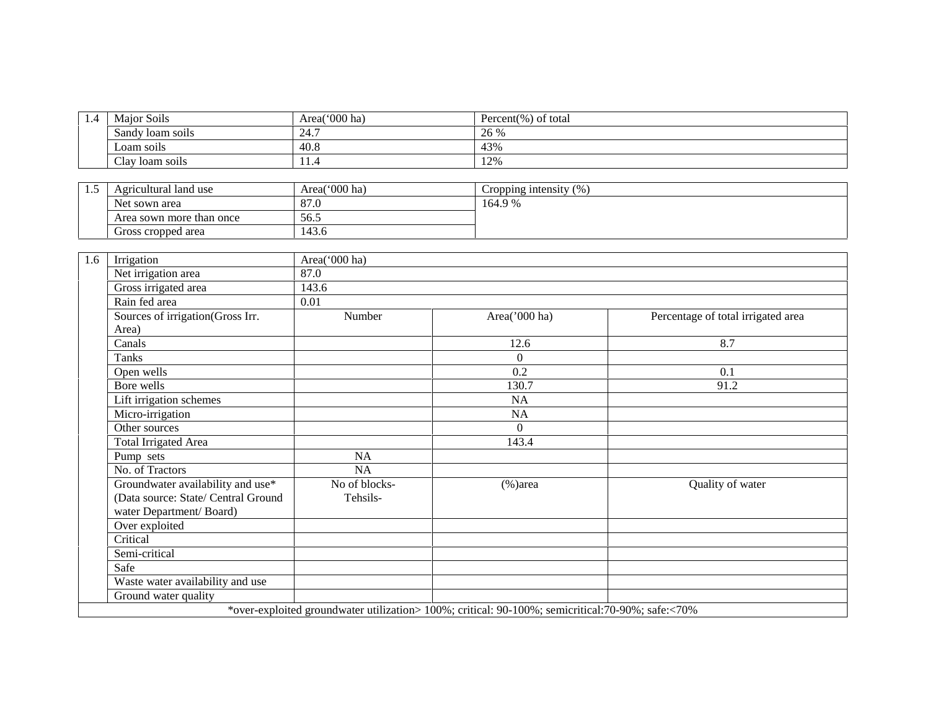| ⊥.⊣ | $\sim$ $\cdot$ 1<br>Ma <sub>1</sub> or<br>Soils | Area('000 ha) | Percent(%) of total |
|-----|-------------------------------------------------|---------------|---------------------|
|     | $\cdot$<br>Sandy loam soils                     | 24.7          | 26 %                |
|     | Loam soils                                      | 40.8          | 43%                 |
|     | Clay loam soils                                 | - -<br>11.4   | 12%                 |

| . | Agricultural land use    | Area $(000 \text{ ha})$ | Cropping intensity (%) |
|---|--------------------------|-------------------------|------------------------|
|   | Net sown area            | -87.6                   | 164.9 %                |
|   | Area sown more than once | 56.5                    |                        |
|   | Gross cropped area       | 143.6                   |                        |

| 1.6 | Irrigation                          | Area('000 ha) |                                                                                                   |                                    |
|-----|-------------------------------------|---------------|---------------------------------------------------------------------------------------------------|------------------------------------|
|     | Net irrigation area                 | 87.0          |                                                                                                   |                                    |
|     | Gross irrigated area                | 143.6         |                                                                                                   |                                    |
|     | Rain fed area                       | 0.01          |                                                                                                   |                                    |
|     | Sources of irrigation(Gross Irr.    | Number        | Area('000 ha)                                                                                     | Percentage of total irrigated area |
|     | Area)                               |               |                                                                                                   |                                    |
|     | Canals                              |               | 12.6                                                                                              | 8.7                                |
|     | Tanks                               |               | $\mathbf{0}$                                                                                      |                                    |
|     | Open wells                          |               | 0.2                                                                                               | 0.1                                |
|     | Bore wells                          |               | 130.7                                                                                             | 91.2                               |
|     | Lift irrigation schemes             |               | <b>NA</b>                                                                                         |                                    |
|     | Micro-irrigation                    |               | $\rm NA$                                                                                          |                                    |
|     | Other sources                       |               | $\Omega$                                                                                          |                                    |
|     | Total Irrigated Area                |               | 143.4                                                                                             |                                    |
|     | Pump sets                           | NA            |                                                                                                   |                                    |
|     | No. of Tractors                     | <b>NA</b>     |                                                                                                   |                                    |
|     | Groundwater availability and use*   | No of blocks- | $%$ )area                                                                                         | Quality of water                   |
|     | (Data source: State/ Central Ground | Tehsils-      |                                                                                                   |                                    |
|     | water Department/Board)             |               |                                                                                                   |                                    |
|     | Over exploited                      |               |                                                                                                   |                                    |
|     | Critical                            |               |                                                                                                   |                                    |
|     | Semi-critical                       |               |                                                                                                   |                                    |
|     | Safe                                |               |                                                                                                   |                                    |
|     | Waste water availability and use    |               |                                                                                                   |                                    |
|     | Ground water quality                |               |                                                                                                   |                                    |
|     |                                     |               | *over-exploited groundwater utilization> 100%; critical: 90-100%; semicritical: 70-90%; safe:<70% |                                    |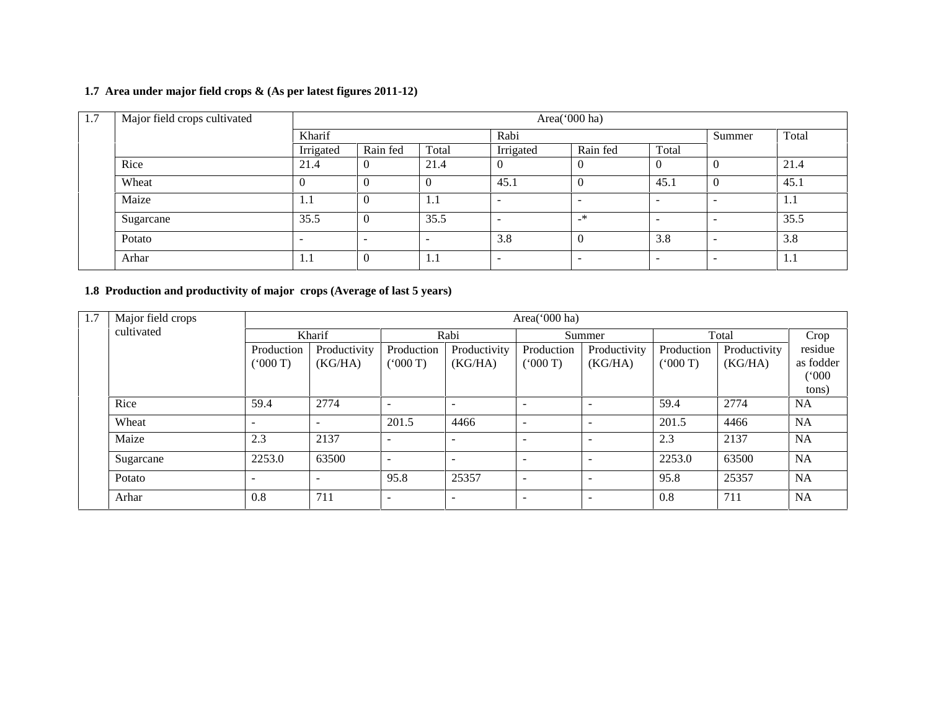## **1.7 Area under major field crops & (As per latest figures 2011-12)**

| 1.7 | Major field crops cultivated | Area('000 ha)            |                          |                          |           |                          |                          |                          |       |  |
|-----|------------------------------|--------------------------|--------------------------|--------------------------|-----------|--------------------------|--------------------------|--------------------------|-------|--|
|     |                              | Kharif                   |                          |                          | Rabi      |                          |                          | Summer                   | Total |  |
|     |                              | Irrigated                | Rain fed                 | Total                    | Irrigated | Rain fed                 | Total                    |                          |       |  |
|     | Rice                         | 21.4                     | $\overline{0}$           | 21.4                     | $\Omega$  | - 17                     | $\boldsymbol{0}$         | $\theta$                 | 21.4  |  |
|     | Wheat                        | U                        | $\overline{0}$           | $\overline{0}$           | 45.1      | -0                       | 45.1                     | $\theta$                 | 45.1  |  |
|     | Maize                        | 1.1                      | $\overline{0}$           | 1.1                      |           | $\overline{\phantom{a}}$ | -                        | $\overline{\phantom{a}}$ | 1.1   |  |
|     | Sugarcane                    | 35.5                     | $\theta$                 | 35.5                     |           | $_{-*}$                  | $\overline{\phantom{a}}$ | $\overline{\phantom{a}}$ | 35.5  |  |
|     | Potato                       | $\overline{\phantom{0}}$ | $\overline{\phantom{0}}$ | $\overline{\phantom{0}}$ | 3.8       | -0                       | 3.8                      | -                        | 3.8   |  |
|     | Arhar                        | 1.1                      | $\theta$                 | 1.1                      |           | $\overline{\phantom{a}}$ | $\overline{\phantom{0}}$ |                          | 1.1   |  |

## **1.8 Production and productivity of major crops (Average of last 5 years)**

| 1.7 | Major field crops |                          | Area('000 ha)            |                          |                          |                          |                          |                      |                         |                               |  |  |
|-----|-------------------|--------------------------|--------------------------|--------------------------|--------------------------|--------------------------|--------------------------|----------------------|-------------------------|-------------------------------|--|--|
|     | cultivated        |                          | Kharif                   | Rabi                     |                          | Summer                   |                          | Total                |                         | Crop                          |  |  |
|     |                   | Production<br>(000T)     | Productivity<br>(KG/HA)  | Production<br>(000T)     | Productivity<br>(KG/HA)  | Production<br>(000T)     | Productivity<br>(KG/HA)  | Production<br>(7000) | Productivity<br>(KG/HA) | residue<br>as fodder<br>(000) |  |  |
|     |                   |                          |                          |                          |                          |                          |                          |                      |                         | tons)                         |  |  |
|     | Rice              | 59.4                     | 2774                     | $\overline{\phantom{a}}$ | -                        | $\overline{\phantom{a}}$ | $\overline{\phantom{0}}$ | 59.4                 | 2774                    | <b>NA</b>                     |  |  |
|     | Wheat             | $\overline{\phantom{0}}$ | $\overline{\phantom{0}}$ | 201.5                    | 4466                     | $\overline{\phantom{a}}$ | $\overline{\phantom{0}}$ | 201.5                | 4466                    | <b>NA</b>                     |  |  |
|     | Maize             | 2.3                      | 2137                     | $\overline{a}$           | $\overline{a}$           | $\overline{\phantom{a}}$ | $\overline{\phantom{a}}$ | 2.3                  | 2137                    | NA                            |  |  |
|     | Sugarcane         | 2253.0                   | 63500                    | $\overline{\phantom{a}}$ | $\overline{\phantom{a}}$ | $\overline{\phantom{0}}$ | $\overline{\phantom{0}}$ | 2253.0               | 63500                   | <b>NA</b>                     |  |  |
|     | Potato            | $\overline{\phantom{0}}$ | $\overline{\phantom{0}}$ | 95.8                     | 25357                    | $\overline{\phantom{a}}$ |                          | 95.8                 | 25357                   | <b>NA</b>                     |  |  |
|     | Arhar             | 0.8                      | 711                      | $\overline{\phantom{0}}$ | $\overline{\phantom{a}}$ | $\overline{\phantom{0}}$ | $\overline{\phantom{a}}$ | 0.8                  | 711                     | <b>NA</b>                     |  |  |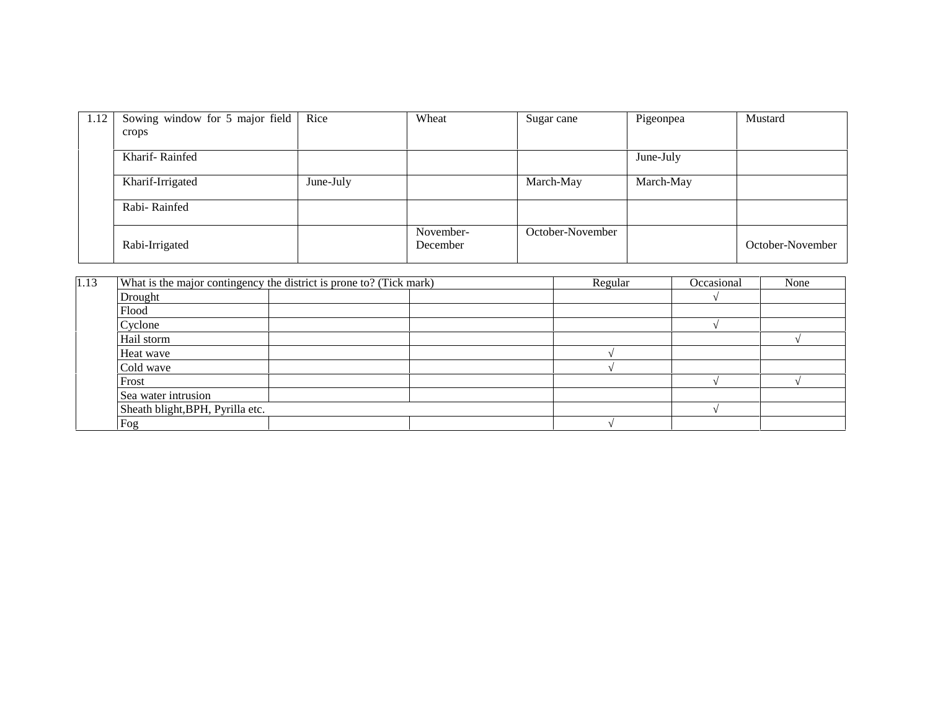| 1.12 | Sowing window for 5 major field | Rice      | Wheat                 | Sugar cane       | Pigeonpea | Mustard          |
|------|---------------------------------|-----------|-----------------------|------------------|-----------|------------------|
|      | crops                           |           |                       |                  |           |                  |
|      |                                 |           |                       |                  |           |                  |
|      | Kharif-Rainfed                  |           |                       |                  | June-July |                  |
|      | Kharif-Irrigated                | June-July |                       | March-May        | March-May |                  |
|      | Rabi-Rainfed                    |           |                       |                  |           |                  |
|      | Rabi-Irrigated                  |           | November-<br>December | October-November |           | October-November |

| 1.13 | What is the major contingency the district is prone to? (Tick mark) | Regular | Occasional | None |
|------|---------------------------------------------------------------------|---------|------------|------|
|      | Drought                                                             |         |            |      |
|      | Flood                                                               |         |            |      |
|      | Cyclone                                                             |         |            |      |
|      | Hail storm                                                          |         |            |      |
|      | Heat wave                                                           |         |            |      |
|      | Cold wave                                                           |         |            |      |
|      | Frost                                                               |         |            |      |
|      | Sea water intrusion                                                 |         |            |      |
|      | Sheath blight, BPH, Pyrilla etc.                                    |         |            |      |
|      | Fog                                                                 |         |            |      |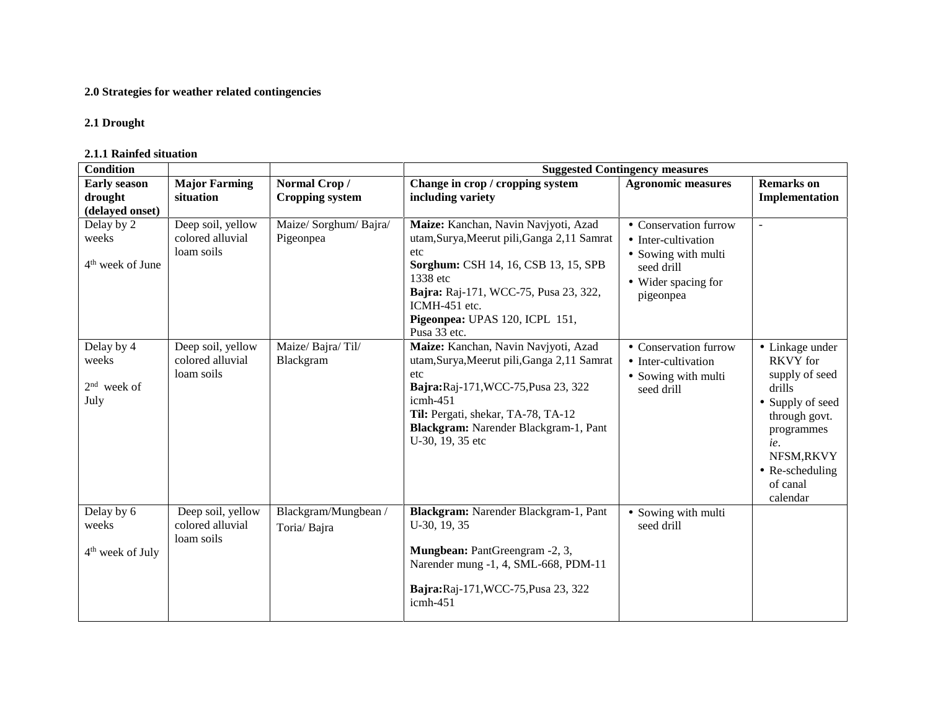# **2.0 Strategies for weather related contingencies**

## **2.1 Drought**

#### **2.1.1 Rainfed situation**

| <b>Condition</b>                                    |                                                     |                                        | <b>Suggested Contingency measures</b>                                                                                                                                                                                                                      |                                                                                                                       |                                                                                                                                                                                  |  |  |
|-----------------------------------------------------|-----------------------------------------------------|----------------------------------------|------------------------------------------------------------------------------------------------------------------------------------------------------------------------------------------------------------------------------------------------------------|-----------------------------------------------------------------------------------------------------------------------|----------------------------------------------------------------------------------------------------------------------------------------------------------------------------------|--|--|
| <b>Early season</b><br>drought<br>(delayed onset)   | <b>Major Farming</b><br>situation                   | Normal Crop/<br><b>Cropping system</b> | Change in crop / cropping system<br>including variety                                                                                                                                                                                                      | <b>Agronomic measures</b>                                                                                             | <b>Remarks</b> on<br>Implementation                                                                                                                                              |  |  |
| Delay by 2<br>weeks<br>4 <sup>th</sup> week of June | Deep soil, yellow<br>colored alluvial<br>loam soils | Maize/Sorghum/Bajra/<br>Pigeonpea      | Maize: Kanchan, Navin Navjyoti, Azad<br>utam, Surya, Meerut pili, Ganga 2,11 Samrat<br>etc<br>Sorghum: CSH 14, 16, CSB 13, 15, SPB<br>1338 etc<br>Bajra: Raj-171, WCC-75, Pusa 23, 322,<br>ICMH-451 etc.<br>Pigeonpea: UPAS 120, ICPL 151,<br>Pusa 33 etc. | • Conservation furrow<br>• Inter-cultivation<br>• Sowing with multi<br>seed drill<br>• Wider spacing for<br>pigeonpea | $\overline{a}$                                                                                                                                                                   |  |  |
| Delay by 4<br>weeks<br>$2nd$ week of<br>July        | Deep soil, yellow<br>colored alluvial<br>loam soils | Maize/ Bajra/Til/<br>Blackgram         | Maize: Kanchan, Navin Navjyoti, Azad<br>utam, Surya, Meerut pili, Ganga 2,11 Samrat<br>etc<br>Bajra:Raj-171, WCC-75, Pusa 23, 322<br>icmh-451<br>Til: Pergati, shekar, TA-78, TA-12<br>Blackgram: Narender Blackgram-1, Pant<br>U-30, 19, 35 etc           | • Conservation furrow<br>• Inter-cultivation<br>• Sowing with multi<br>seed drill                                     | • Linkage under<br><b>RKVY</b> for<br>supply of seed<br>drills<br>• Supply of seed<br>through govt.<br>programmes<br>ie.<br>NFSM,RKVY<br>• Re-scheduling<br>of canal<br>calendar |  |  |
| Delay by 6<br>weeks<br>4 <sup>th</sup> week of July | Deep soil, yellow<br>colored alluvial<br>loam soils | Blackgram/Mungbean /<br>Toria/ Bajra   | Blackgram: Narender Blackgram-1, Pant<br>U-30, 19, 35<br>Mungbean: PantGreengram -2, 3,<br>Narender mung -1, 4, SML-668, PDM-11<br>Bajra:Raj-171, WCC-75, Pusa 23, 322<br>icmh-451                                                                         | • Sowing with multi<br>seed drill                                                                                     |                                                                                                                                                                                  |  |  |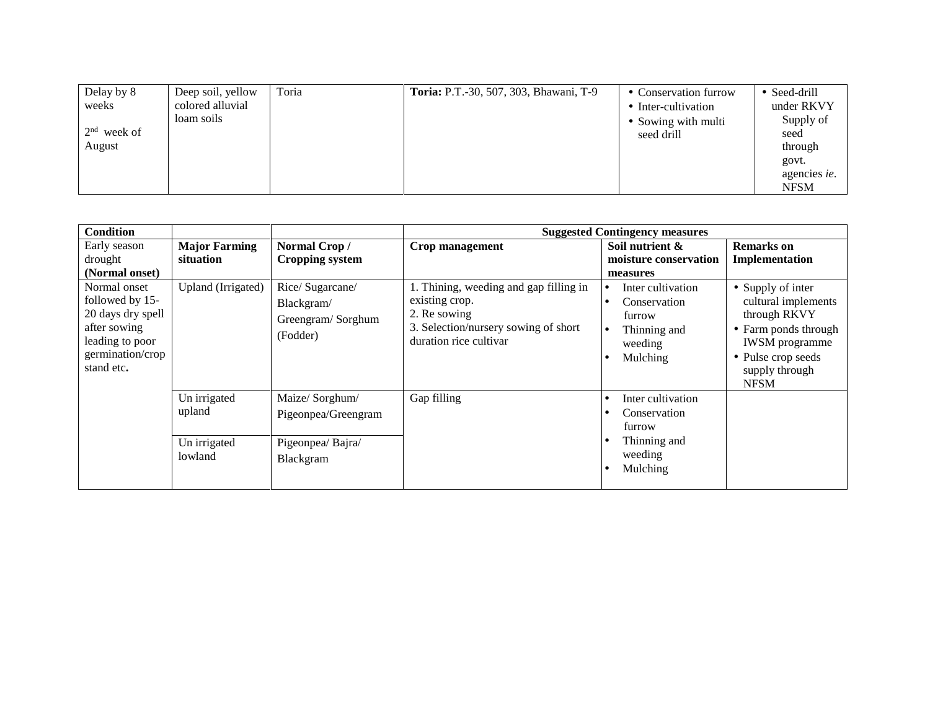| Delay by 8    | Deep soil, yellow | Toria | Toria: P.T.-30, 507, 303, Bhawani, T-9 | • Conservation furrow | $\bullet$ Seed-drill |
|---------------|-------------------|-------|----------------------------------------|-----------------------|----------------------|
| weeks         | colored alluvial  |       |                                        | • Inter-cultivation   | under RKVY           |
|               | loam soils        |       |                                        | • Sowing with multi   | Supply of            |
| $2nd$ week of |                   |       |                                        | seed drill            | seed                 |
| August        |                   |       |                                        |                       | through              |
|               |                   |       |                                        |                       | govt.                |
|               |                   |       |                                        |                       | agencies <i>ie</i> . |
|               |                   |       |                                        |                       | <b>NFSM</b>          |

| Condition                                                                                                                 |                                                   |                                                                        |                                                                                                                                            | <b>Suggested Contingency measures</b>                                                           |                                                                                                                                                                  |
|---------------------------------------------------------------------------------------------------------------------------|---------------------------------------------------|------------------------------------------------------------------------|--------------------------------------------------------------------------------------------------------------------------------------------|-------------------------------------------------------------------------------------------------|------------------------------------------------------------------------------------------------------------------------------------------------------------------|
| Early season<br>drought<br>(Normal onset)                                                                                 | <b>Major Farming</b><br>situation                 | Normal Crop/<br><b>Cropping system</b>                                 | Crop management                                                                                                                            | Soil nutrient &<br>moisture conservation<br>measures                                            | <b>Remarks</b> on<br>Implementation                                                                                                                              |
| Normal onset<br>followed by 15-<br>20 days dry spell<br>after sowing<br>leading to poor<br>germination/crop<br>stand etc. | Upland (Irrigated)                                | Rice/Sugarcane/<br>Blackgram/<br>Greengram/Sorghum<br>(Fodder)         | 1. Thining, weeding and gap filling in<br>existing crop.<br>2. Re sowing<br>3. Selection/nursery sowing of short<br>duration rice cultivar | Inter cultivation<br>$\bullet$<br>Conservation<br>furrow<br>Thinning and<br>weeding<br>Mulching | • Supply of inter<br>cultural implements<br>through RKVY<br>• Farm ponds through<br><b>IWSM</b> programme<br>• Pulse crop seeds<br>supply through<br><b>NFSM</b> |
|                                                                                                                           | Un irrigated<br>upland<br>Un irrigated<br>lowland | Maize/Sorghum/<br>Pigeonpea/Greengram<br>Pigeonpea/Bajra/<br>Blackgram | Gap filling                                                                                                                                | Inter cultivation<br>Conservation<br>furrow<br>Thinning and<br>weeding<br>Mulching              |                                                                                                                                                                  |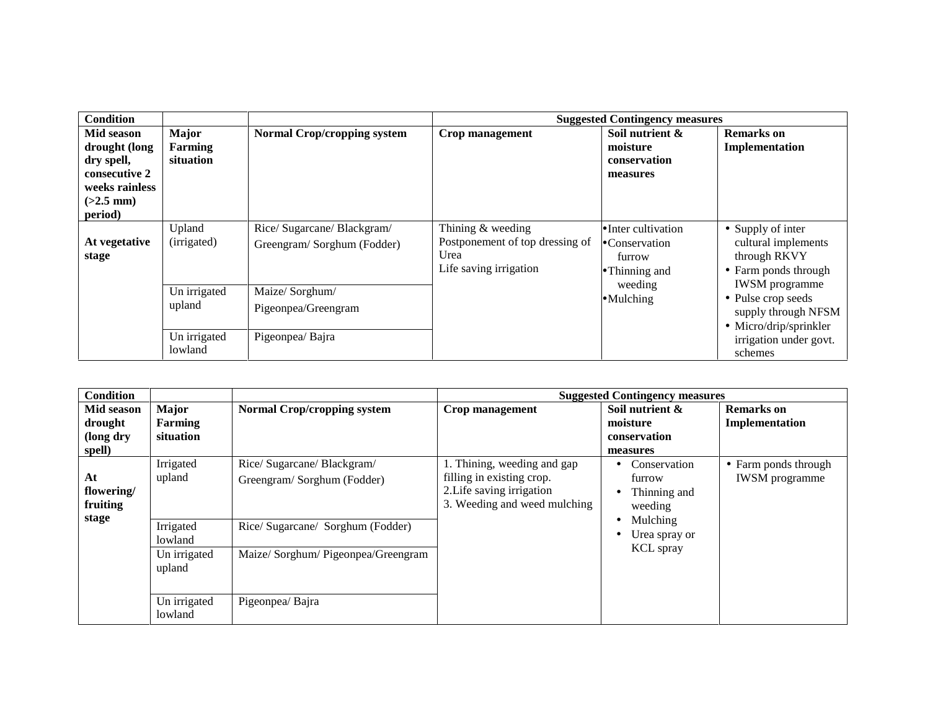| <b>Condition</b>                                                                                       |                                                                                                                                                                              |                                                                   |                                                                                  | <b>Suggested Contingency measures</b>                   |                                                                                              |
|--------------------------------------------------------------------------------------------------------|------------------------------------------------------------------------------------------------------------------------------------------------------------------------------|-------------------------------------------------------------------|----------------------------------------------------------------------------------|---------------------------------------------------------|----------------------------------------------------------------------------------------------|
| Mid season<br>drought (long<br>dry spell,<br>consecutive 2<br>weeks rainless<br>$(>2.5$ mm)<br>period) | <b>Major</b><br>Farming<br>situation                                                                                                                                         | <b>Normal Crop/cropping system</b>                                | Crop management                                                                  | Soil nutrient &<br>moisture<br>conservation<br>measures | <b>Remarks</b> on<br>Implementation                                                          |
| At vegetative<br>stage                                                                                 | Rice/ Sugarcane/ Blackgram/<br>Upland<br>Thining & weeding<br>(irrigated)<br>Postponement of top dressing of<br>Greengram/Sorghum (Fodder)<br>Urea<br>Life saving irrigation | • Inter cultivation<br>• Conservation<br>furrow<br>• Thinning and | • Supply of inter<br>cultural implements<br>through RKVY<br>• Farm ponds through |                                                         |                                                                                              |
|                                                                                                        | Un irrigated<br>upland                                                                                                                                                       | Maize/Sorghum/<br>Pigeonpea/Greengram                             |                                                                                  | weeding<br>$\bullet$ Mulching                           | <b>IWSM</b> programme<br>• Pulse crop seeds<br>supply through NFSM<br>• Micro/drip/sprinkler |
|                                                                                                        | Un irrigated<br>lowland                                                                                                                                                      | Pigeonpea/Bajra                                                   |                                                                                  |                                                         | irrigation under govt.<br>schemes                                                            |

| <b>Condition</b>                             |                                                                                                                                                                                                                                                                                                                                     |                                                                         |                                               | <b>Suggested Contingency measures</b>                   |                              |
|----------------------------------------------|-------------------------------------------------------------------------------------------------------------------------------------------------------------------------------------------------------------------------------------------------------------------------------------------------------------------------------------|-------------------------------------------------------------------------|-----------------------------------------------|---------------------------------------------------------|------------------------------|
| Mid season<br>drought<br>(long dry<br>spell) | Major<br>Farming<br>situation                                                                                                                                                                                                                                                                                                       | <b>Normal Crop/cropping system</b>                                      | Crop management                               | Soil nutrient &<br>moisture<br>conservation<br>measures | Remarks on<br>Implementation |
| At<br>flowering/<br>fruiting<br>stage        | Irrigated<br>Rice/ Sugarcane/ Blackgram/<br>1. Thining, weeding and gap<br>upland<br>filling in existing crop.<br>Greengram/Sorghum (Fodder)<br>2. Life saving irrigation<br>3. Weeding and weed mulching<br>Irrigated<br>Rice/Sugarcane/Sorghum (Fodder)<br>lowland<br>Un irrigated<br>Maize/Sorghum/Pigeonpea/Greengram<br>upland | Conservation<br>furrow<br>Thinning and<br>weeding<br>$\bullet$ Mulching | • Farm ponds through<br><b>IWSM</b> programme |                                                         |                              |
|                                              |                                                                                                                                                                                                                                                                                                                                     | Urea spray or<br><b>KCL</b> spray                                       |                                               |                                                         |                              |
|                                              | Un irrigated<br>lowland                                                                                                                                                                                                                                                                                                             | Pigeonpea/Bajra                                                         |                                               |                                                         |                              |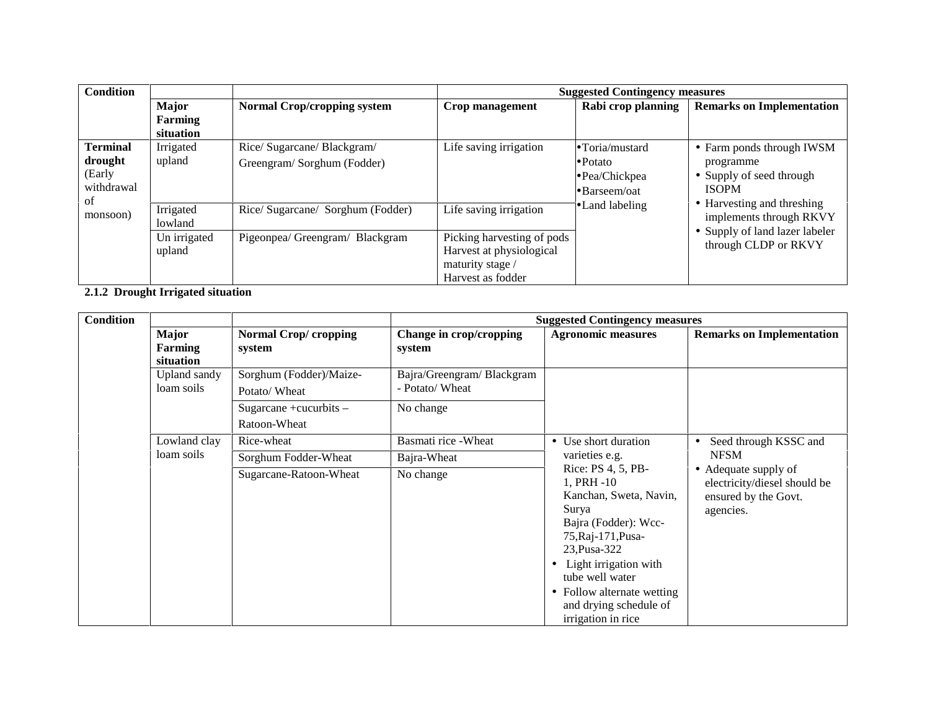| <b>Condition</b>                                   |                                      |                                                           |                                                                                                 | <b>Suggested Contingency measures</b>                                                          |                                                                                                                 |  |  |  |
|----------------------------------------------------|--------------------------------------|-----------------------------------------------------------|-------------------------------------------------------------------------------------------------|------------------------------------------------------------------------------------------------|-----------------------------------------------------------------------------------------------------------------|--|--|--|
|                                                    | <b>Major</b><br>Farming<br>situation | Normal Crop/cropping system                               | Crop management                                                                                 | Rabi crop planning                                                                             | <b>Remarks on Implementation</b>                                                                                |  |  |  |
| <b>Terminal</b><br>drought<br>(Early<br>withdrawal | Irrigated<br>upland                  | Rice/ Sugarcane/ Blackgram/<br>Greengram/Sorghum (Fodder) | Life saving irrigation                                                                          | $\bullet$ Toria/mustard<br>$\bullet$ Potato<br>$\bullet$ Pea/Chickpea<br>$\bullet$ Barseem/oat | • Farm ponds through IWSM<br>programme<br>• Supply of seed through<br><b>ISOPM</b>                              |  |  |  |
| ot<br>monsoon)                                     | Irrigated<br>lowland                 | Rice/Sugarcane/Sorghum (Fodder)                           | Life saving irrigation                                                                          | • Land labeling                                                                                | • Harvesting and threshing<br>implements through RKVY<br>• Supply of land lazer labeler<br>through CLDP or RKVY |  |  |  |
|                                                    | Un irrigated<br>upland               | Pigeonpea/ Greengram/ Blackgram                           | Picking harvesting of pods<br>Harvest at physiological<br>maturity stage /<br>Harvest as fodder |                                                                                                |                                                                                                                 |  |  |  |

**2.1.2 Drought Irrigated situation**

| <b>Condition</b> |                                      |                                                                                   | <b>Suggested Contingency measures</b>                     |                                                                                                                                                                                                                                                                                                         |                                                                                                                                   |  |  |
|------------------|--------------------------------------|-----------------------------------------------------------------------------------|-----------------------------------------------------------|---------------------------------------------------------------------------------------------------------------------------------------------------------------------------------------------------------------------------------------------------------------------------------------------------------|-----------------------------------------------------------------------------------------------------------------------------------|--|--|
|                  | <b>Major</b><br>Farming<br>situation | <b>Normal Crop/cropping</b><br>system                                             | Change in crop/cropping<br>system                         | <b>Agronomic measures</b>                                                                                                                                                                                                                                                                               | <b>Remarks on Implementation</b>                                                                                                  |  |  |
|                  | Upland sandy<br>loam soils           | Sorghum (Fodder)/Maize-<br>Potato/Wheat<br>Sugarcane +cucurbits -<br>Ratoon-Wheat | Bajra/Greengram/Blackgram<br>- Potato/ Wheat<br>No change |                                                                                                                                                                                                                                                                                                         |                                                                                                                                   |  |  |
|                  | Lowland clay<br>loam soils           | Rice-wheat<br>Sorghum Fodder-Wheat<br>Sugarcane-Ratoon-Wheat                      | Basmati rice - Wheat<br>Bajra-Wheat<br>No change          | • Use short duration<br>varieties e.g.<br>Rice: PS 4, 5, PB-<br>1, PRH -10<br>Kanchan, Sweta, Navin,<br>Surya<br>Bajra (Fodder): Wcc-<br>75, Raj-171, Pusa-<br>23, Pusa-322<br>• Light irrigation with<br>tube well water<br>• Follow alternate wetting<br>and drying schedule of<br>irrigation in rice | Seed through KSSC and<br><b>NFSM</b><br>• Adequate supply of<br>electricity/diesel should be<br>ensured by the Govt.<br>agencies. |  |  |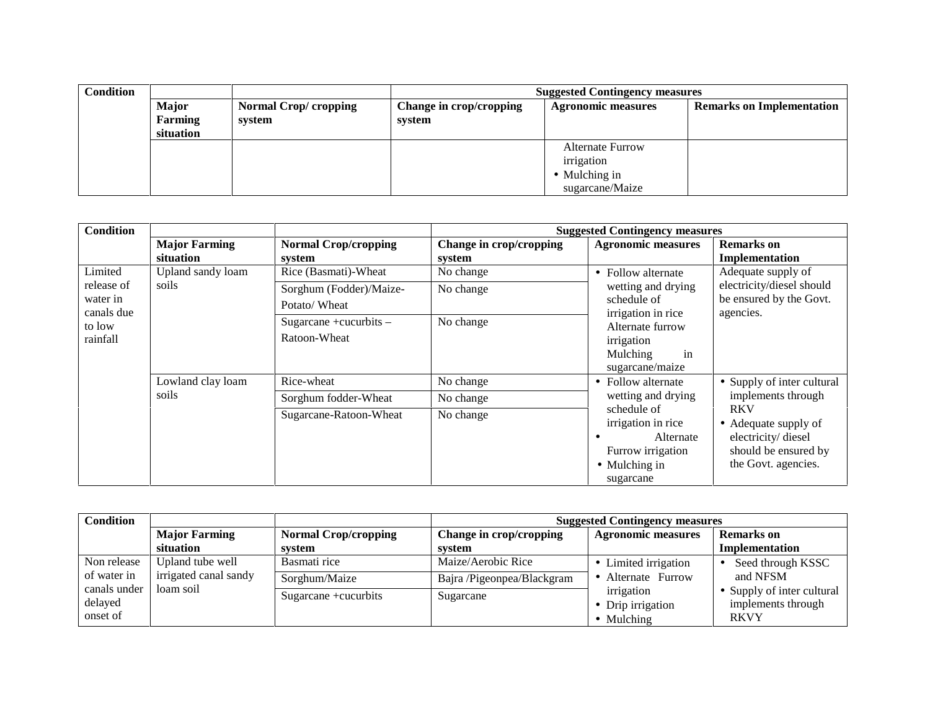| <b>Condition</b> |                                      | <b>Suggested Contingency measures</b> |                                   |                           |                                  |  |
|------------------|--------------------------------------|---------------------------------------|-----------------------------------|---------------------------|----------------------------------|--|
|                  | <b>Major</b><br>Farming<br>situation | Normal Crop/ cropping<br>system       | Change in crop/cropping<br>system | <b>Agronomic measures</b> | <b>Remarks on Implementation</b> |  |
|                  |                                      |                                       |                                   | <b>Alternate Furrow</b>   |                                  |  |
|                  |                                      |                                       |                                   | irrigation                |                                  |  |
|                  |                                      |                                       |                                   | $\bullet$ Mulching in     |                                  |  |
|                  |                                      |                                       |                                   | sugarcane/Maize           |                                  |  |

| <b>Condition</b>       |                                   |                                       | <b>Suggested Contingency measures</b> |                                                                                                                                                             |                                                                                           |  |
|------------------------|-----------------------------------|---------------------------------------|---------------------------------------|-------------------------------------------------------------------------------------------------------------------------------------------------------------|-------------------------------------------------------------------------------------------|--|
|                        | <b>Major Farming</b><br>situation | <b>Normal Crop/cropping</b><br>system | Change in crop/cropping<br>system     | <b>Agronomic measures</b>                                                                                                                                   | <b>Remarks</b> on<br>Implementation                                                       |  |
| Limited                | Upland sandy loam                 | Rice (Basmati)-Wheat                  | No change                             | • Follow alternate                                                                                                                                          | Adequate supply of                                                                        |  |
| release of             | soils                             | Sorghum (Fodder)/Maize-               | No change                             | wetting and drying                                                                                                                                          | electricity/diesel should                                                                 |  |
| water in<br>canals due |                                   | Potato/Wheat                          |                                       | schedule of                                                                                                                                                 | be ensured by the Govt.                                                                   |  |
| to low                 |                                   | Sugarcane +cucurbits $-$              | No change                             | irrigation in rice<br>Alternate furrow<br>irrigation<br>Mulching<br>in<br>sugarcane/maize                                                                   | agencies.                                                                                 |  |
| rainfall               |                                   | Ratoon-Wheat                          |                                       |                                                                                                                                                             |                                                                                           |  |
|                        | Lowland clay loam                 | Rice-wheat                            | No change                             | • Follow alternate<br>wetting and drying<br>schedule of<br><b>RKV</b><br>irrigation in rice<br>Alternate<br>Furrow irrigation<br>• Mulching in<br>sugarcane | • Supply of inter cultural                                                                |  |
|                        | soils                             | Sorghum fodder-Wheat                  | No change                             |                                                                                                                                                             | implements through                                                                        |  |
|                        |                                   | Sugarcane-Ratoon-Wheat                | No change                             |                                                                                                                                                             | • Adequate supply of<br>electricity/diesel<br>should be ensured by<br>the Govt. agencies. |  |

| <b>Condition</b> |                       |                             | <b>Suggested Contingency measures</b> |                           |                            |  |  |
|------------------|-----------------------|-----------------------------|---------------------------------------|---------------------------|----------------------------|--|--|
|                  | <b>Major Farming</b>  | <b>Normal Crop/cropping</b> | Change in crop/cropping               | <b>Agronomic measures</b> | <b>Remarks</b> on          |  |  |
|                  | situation             | system                      | svstem                                |                           | <b>Implementation</b>      |  |  |
| Non release      | Upland tube well      | Basmati rice                | Maize/Aerobic Rice                    | • Limited irrigation      | Seed through KSSC          |  |  |
| of water in      | irrigated canal sandy | Sorghum/Maize               | Bajra /Pigeonpea/Blackgram            | • Alternate Furrow        | and NFSM                   |  |  |
| canals under     | loam soil             | Sugarcane +cucurbits        | Sugarcane                             | irrigation                | • Supply of inter cultural |  |  |
| delayed          |                       |                             |                                       | • Drip irrigation         | implements through         |  |  |
| onset of         |                       |                             |                                       | $\bullet$ Mulching        | <b>RKVY</b>                |  |  |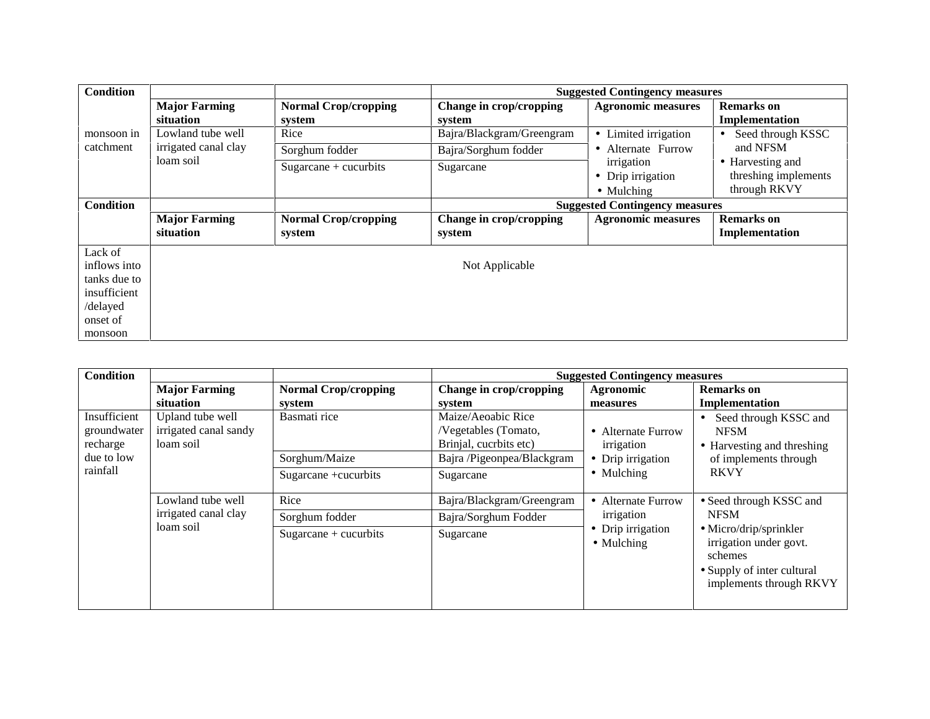| <b>Condition</b>                        |                                   |                                       |                                       | <b>Suggested Contingency measures</b>                 |                                                          |
|-----------------------------------------|-----------------------------------|---------------------------------------|---------------------------------------|-------------------------------------------------------|----------------------------------------------------------|
|                                         | <b>Major Farming</b><br>situation | <b>Normal Crop/cropping</b><br>system | Change in crop/cropping<br>system     | <b>Agronomic measures</b>                             | <b>Remarks</b> on<br>Implementation                      |
| monsoon in                              | Lowland tube well                 | Rice                                  | Bajra/Blackgram/Greengram             | • Limited irrigation                                  | Seed through KSSC<br>$\bullet$                           |
| catchment                               | irrigated canal clay              | Sorghum fodder                        | Bajra/Sorghum fodder                  | • Alternate Furrow                                    | and NFSM                                                 |
|                                         | loam soil                         | $Sugarcane + cucurbits$               | Sugarcane                             | irrigation<br>• Drip irrigation<br>$\bullet$ Mulching | • Harvesting and<br>threshing implements<br>through RKVY |
| <b>Condition</b>                        |                                   |                                       | <b>Suggested Contingency measures</b> |                                                       |                                                          |
|                                         | <b>Major Farming</b><br>situation | <b>Normal Crop/cropping</b><br>system | Change in crop/cropping<br>system     | <b>Agronomic measures</b>                             | <b>Remarks</b> on<br>Implementation                      |
| Lack of<br>inflows into<br>tanks due to |                                   |                                       | Not Applicable                        |                                                       |                                                          |
| insufficient                            |                                   |                                       |                                       |                                                       |                                                          |
| /delayed                                |                                   |                                       |                                       |                                                       |                                                          |
| onset of                                |                                   |                                       |                                       |                                                       |                                                          |
| monsoon                                 |                                   |                                       |                                       |                                                       |                                                          |

| <b>Condition</b>        |                                    |                                                                                                            |                            | <b>Suggested Contingency measures</b>                              |                                                                                                                                                                        |
|-------------------------|------------------------------------|------------------------------------------------------------------------------------------------------------|----------------------------|--------------------------------------------------------------------|------------------------------------------------------------------------------------------------------------------------------------------------------------------------|
|                         | <b>Major Farming</b>               | <b>Normal Crop/cropping</b>                                                                                | Change in crop/cropping    | Agronomic                                                          | <b>Remarks</b> on                                                                                                                                                      |
| Insufficient            | situation<br>Upland tube well      | system                                                                                                     | system                     | measures                                                           | Implementation                                                                                                                                                         |
| groundwater<br>recharge | irrigated canal sandy<br>loam soil | Basmati rice<br>Maize/Aeoabic Rice<br>/Vegetables (Tomato,<br>• Alternate Furrow<br>Brinjal, cucrbits etc) | irrigation                 | Seed through KSSC and<br><b>NFSM</b><br>• Harvesting and threshing |                                                                                                                                                                        |
| due to low              |                                    | Sorghum/Maize                                                                                              | Bajra /Pigeonpea/Blackgram | • Drip irrigation                                                  | of implements through                                                                                                                                                  |
| rainfall                |                                    | Sugarcane +cucurbits                                                                                       | Sugarcane                  | • Mulching                                                         | <b>RKVY</b>                                                                                                                                                            |
|                         | Lowland tube well                  | Rice                                                                                                       | Bajra/Blackgram/Greengram  | • Alternate Furrow                                                 | • Seed through KSSC and<br><b>NFSM</b><br>$\bullet$ Micro/drip/sprinkler<br>irrigation under govt.<br>schemes<br>• Supply of inter cultural<br>implements through RKVY |
|                         | irrigated canal clay               | Sorghum fodder                                                                                             | Bajra/Sorghum Fodder       | irrigation                                                         |                                                                                                                                                                        |
|                         | loam soil                          | $Sugarcane + cucurbits$                                                                                    | Sugarcane                  | • Drip irrigation<br>• Mulching                                    |                                                                                                                                                                        |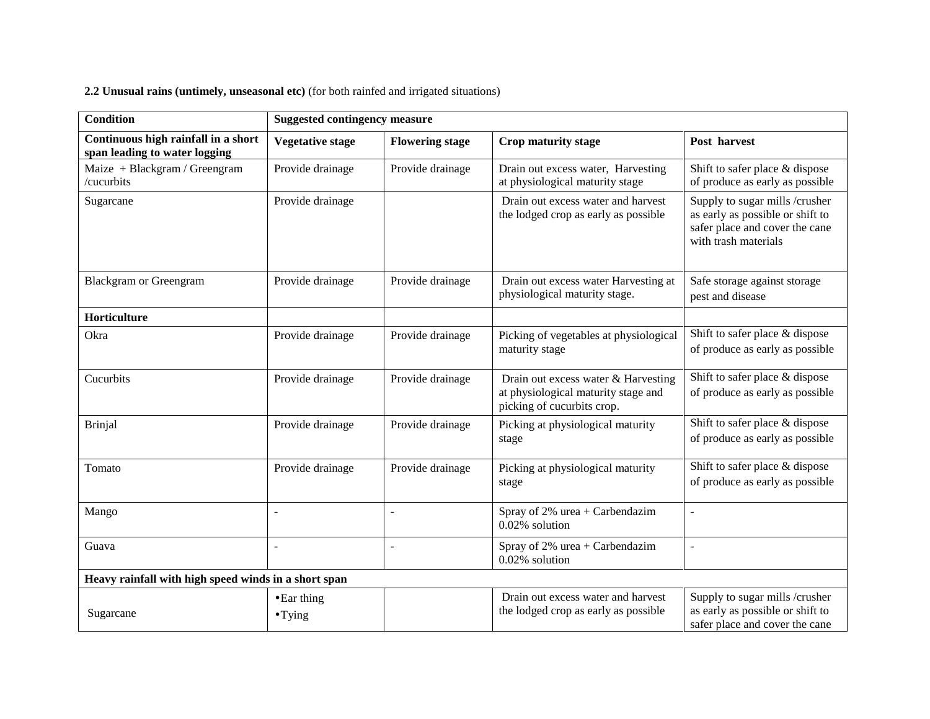**2.2 Unusual rains (untimely, unseasonal etc)** (for both rainfed and irrigated situations)

| <b>Condition</b>                                                     | <b>Suggested contingency measure</b>   |                        |                                                                                                          |                                                                                                                              |  |
|----------------------------------------------------------------------|----------------------------------------|------------------------|----------------------------------------------------------------------------------------------------------|------------------------------------------------------------------------------------------------------------------------------|--|
| Continuous high rainfall in a short<br>span leading to water logging | <b>Vegetative stage</b>                | <b>Flowering stage</b> | Crop maturity stage                                                                                      | Post harvest                                                                                                                 |  |
| Maize + Blackgram / Greengram<br>cucurbits                           | Provide drainage                       | Provide drainage       | Drain out excess water, Harvesting<br>at physiological maturity stage                                    | Shift to safer place & dispose<br>of produce as early as possible                                                            |  |
| Sugarcane                                                            | Provide drainage                       |                        | Drain out excess water and harvest<br>the lodged crop as early as possible                               | Supply to sugar mills /crusher<br>as early as possible or shift to<br>safer place and cover the cane<br>with trash materials |  |
| <b>Blackgram or Greengram</b>                                        | Provide drainage                       | Provide drainage       | Drain out excess water Harvesting at<br>physiological maturity stage.                                    | Safe storage against storage<br>pest and disease                                                                             |  |
| Horticulture                                                         |                                        |                        |                                                                                                          |                                                                                                                              |  |
| Okra                                                                 | Provide drainage                       | Provide drainage       | Picking of vegetables at physiological<br>maturity stage                                                 | Shift to safer place & dispose<br>of produce as early as possible                                                            |  |
| Cucurbits                                                            | Provide drainage                       | Provide drainage       | Drain out excess water & Harvesting<br>at physiological maturity stage and<br>picking of cucurbits crop. | Shift to safer place & dispose<br>of produce as early as possible                                                            |  |
| <b>Brinjal</b>                                                       | Provide drainage                       | Provide drainage       | Picking at physiological maturity<br>stage                                                               | Shift to safer place & dispose<br>of produce as early as possible                                                            |  |
| Tomato                                                               | Provide drainage                       | Provide drainage       | Picking at physiological maturity<br>stage                                                               | Shift to safer place & dispose<br>of produce as early as possible                                                            |  |
| Mango                                                                | $\overline{\phantom{a}}$               | $\overline{a}$         | Spray of $2\%$ urea + Carbendazim<br>0.02% solution                                                      | $\overline{a}$                                                                                                               |  |
| Guava                                                                | $\overline{a}$                         | $\sim$                 | Spray of 2% urea + Carbendazim<br>0.02% solution                                                         | $\sim$                                                                                                                       |  |
| Heavy rainfall with high speed winds in a short span                 |                                        |                        |                                                                                                          |                                                                                                                              |  |
| Sugarcane                                                            | $\bullet$ Ear thing<br>$\bullet$ Tying |                        | Drain out excess water and harvest<br>the lodged crop as early as possible                               | Supply to sugar mills /crusher<br>as early as possible or shift to<br>safer place and cover the cane                         |  |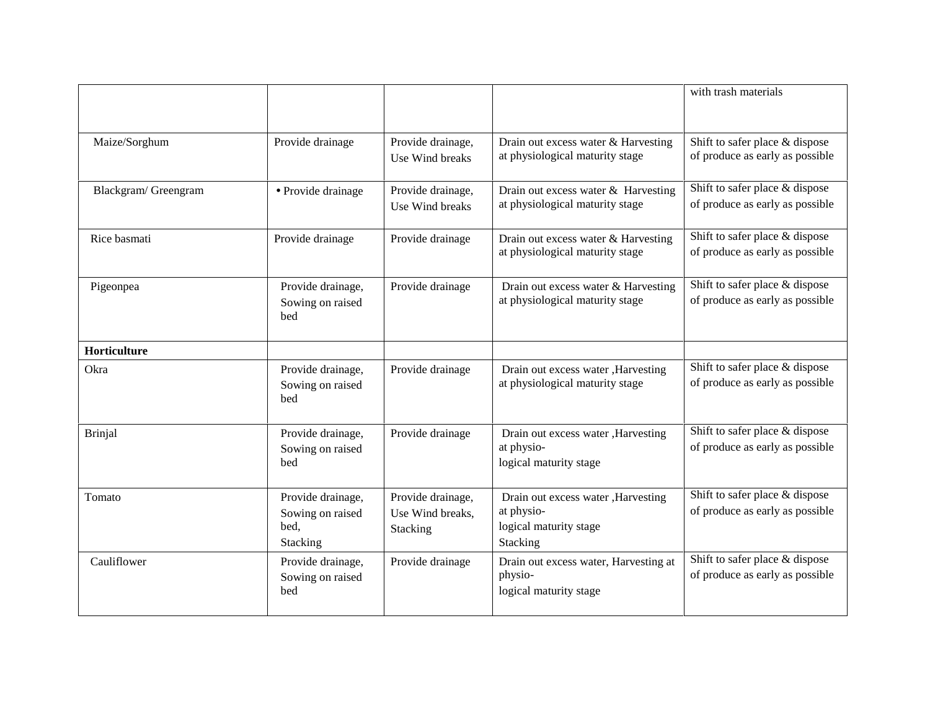|                      |                                                           |                                                   |                                                                                         | with trash materials                                              |
|----------------------|-----------------------------------------------------------|---------------------------------------------------|-----------------------------------------------------------------------------------------|-------------------------------------------------------------------|
| Maize/Sorghum        | Provide drainage                                          | Provide drainage,<br>Use Wind breaks              | Drain out excess water & Harvesting<br>at physiological maturity stage                  | Shift to safer place & dispose<br>of produce as early as possible |
| Blackgram/ Greengram | • Provide drainage                                        | Provide drainage,<br>Use Wind breaks              | Drain out excess water & Harvesting<br>at physiological maturity stage                  | Shift to safer place & dispose<br>of produce as early as possible |
| Rice basmati         | Provide drainage                                          | Provide drainage                                  | Drain out excess water & Harvesting<br>at physiological maturity stage                  | Shift to safer place & dispose<br>of produce as early as possible |
| Pigeonpea            | Provide drainage,<br>Sowing on raised<br>bed              | Provide drainage                                  | Drain out excess water & Harvesting<br>at physiological maturity stage                  | Shift to safer place & dispose<br>of produce as early as possible |
| Horticulture         |                                                           |                                                   |                                                                                         |                                                                   |
| Okra                 | Provide drainage,<br>Sowing on raised<br>bed              | Provide drainage                                  | Drain out excess water , Harvesting<br>at physiological maturity stage                  | Shift to safer place & dispose<br>of produce as early as possible |
| Brinjal              | Provide drainage,<br>Sowing on raised<br>bed              | Provide drainage                                  | Drain out excess water , Harvesting<br>at physio-<br>logical maturity stage             | Shift to safer place & dispose<br>of produce as early as possible |
| Tomato               | Provide drainage,<br>Sowing on raised<br>bed,<br>Stacking | Provide drainage,<br>Use Wind breaks,<br>Stacking | Drain out excess water , Harvesting<br>at physio-<br>logical maturity stage<br>Stacking | Shift to safer place & dispose<br>of produce as early as possible |
| Cauliflower          | Provide drainage,<br>Sowing on raised<br>bed              | Provide drainage                                  | Drain out excess water, Harvesting at<br>physio-<br>logical maturity stage              | Shift to safer place & dispose<br>of produce as early as possible |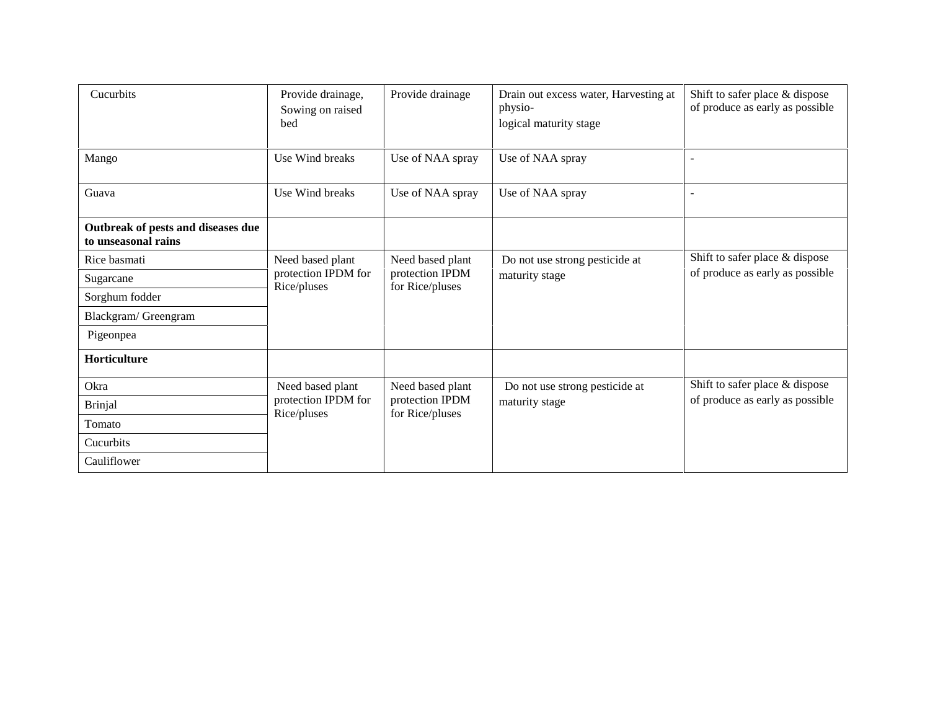| Cucurbits                                                 | Provide drainage,<br>Sowing on raised<br>bed | Provide drainage                   | Drain out excess water, Harvesting at<br>physio-<br>logical maturity stage | Shift to safer place & dispose<br>of produce as early as possible |
|-----------------------------------------------------------|----------------------------------------------|------------------------------------|----------------------------------------------------------------------------|-------------------------------------------------------------------|
| Mango                                                     | Use Wind breaks                              | Use of NAA spray                   | Use of NAA spray                                                           | $\blacksquare$                                                    |
| Guava                                                     | Use Wind breaks                              | Use of NAA spray                   | Use of NAA spray                                                           | $\blacksquare$                                                    |
| Outbreak of pests and diseases due<br>to unseasonal rains |                                              |                                    |                                                                            |                                                                   |
| Rice basmati                                              | Need based plant                             | Need based plant                   | Do not use strong pesticide at                                             | Shift to safer place & dispose                                    |
| Sugarcane                                                 | protection IPDM for<br>Rice/pluses           | protection IPDM<br>for Rice/pluses | maturity stage                                                             | of produce as early as possible                                   |
| Sorghum fodder                                            |                                              |                                    |                                                                            |                                                                   |
| Blackgram/Greengram                                       |                                              |                                    |                                                                            |                                                                   |
| Pigeonpea                                                 |                                              |                                    |                                                                            |                                                                   |
| Horticulture                                              |                                              |                                    |                                                                            |                                                                   |
| Okra                                                      | Need based plant                             | Need based plant                   | Do not use strong pesticide at                                             | Shift to safer place & dispose                                    |
| <b>Brinjal</b>                                            | protection IPDM for<br>Rice/pluses           | protection IPDM<br>for Rice/pluses | maturity stage                                                             | of produce as early as possible                                   |
| Tomato                                                    |                                              |                                    |                                                                            |                                                                   |
| Cucurbits                                                 |                                              |                                    |                                                                            |                                                                   |
| Cauliflower                                               |                                              |                                    |                                                                            |                                                                   |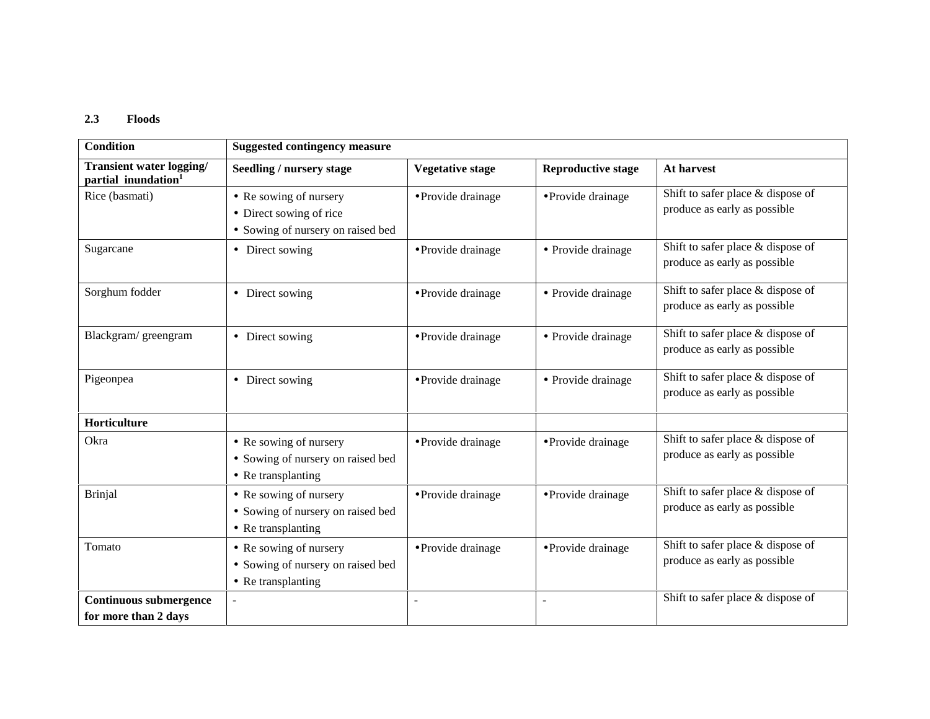#### **2.3 Floods**

| <b>Condition</b>                                                   | <b>Suggested contingency measure</b>                                                   |                         |                           |                                                                   |  |  |
|--------------------------------------------------------------------|----------------------------------------------------------------------------------------|-------------------------|---------------------------|-------------------------------------------------------------------|--|--|
| <b>Transient water logging/</b><br>partial inundation <sup>1</sup> | Seedling / nursery stage                                                               | <b>Vegetative stage</b> | <b>Reproductive stage</b> | At harvest                                                        |  |  |
| Rice (basmati)                                                     | • Re sowing of nursery<br>• Direct sowing of rice<br>• Sowing of nursery on raised bed | • Provide drainage      | · Provide drainage        | Shift to safer place & dispose of<br>produce as early as possible |  |  |
| Sugarcane                                                          | • Direct sowing                                                                        | • Provide drainage      | • Provide drainage        | Shift to safer place & dispose of<br>produce as early as possible |  |  |
| Sorghum fodder                                                     | • Direct sowing                                                                        | • Provide drainage      | • Provide drainage        | Shift to safer place & dispose of<br>produce as early as possible |  |  |
| Blackgram/greengram                                                | • Direct sowing                                                                        | • Provide drainage      | • Provide drainage        | Shift to safer place & dispose of<br>produce as early as possible |  |  |
| Pigeonpea                                                          | • Direct sowing                                                                        | · Provide drainage      | • Provide drainage        | Shift to safer place & dispose of<br>produce as early as possible |  |  |
| Horticulture                                                       |                                                                                        |                         |                           |                                                                   |  |  |
| Okra                                                               | • Re sowing of nursery<br>• Sowing of nursery on raised bed<br>• Re transplanting      | • Provide drainage      | • Provide drainage        | Shift to safer place & dispose of<br>produce as early as possible |  |  |
| <b>Brinjal</b>                                                     | • Re sowing of nursery<br>• Sowing of nursery on raised bed<br>• Re transplanting      | • Provide drainage      | • Provide drainage        | Shift to safer place & dispose of<br>produce as early as possible |  |  |
| Tomato                                                             | • Re sowing of nursery<br>• Sowing of nursery on raised bed<br>• Re transplanting      | • Provide drainage      | · Provide drainage        | Shift to safer place & dispose of<br>produce as early as possible |  |  |
| <b>Continuous submergence</b>                                      |                                                                                        |                         |                           | Shift to safer place & dispose of                                 |  |  |
| for more than 2 days                                               |                                                                                        |                         |                           |                                                                   |  |  |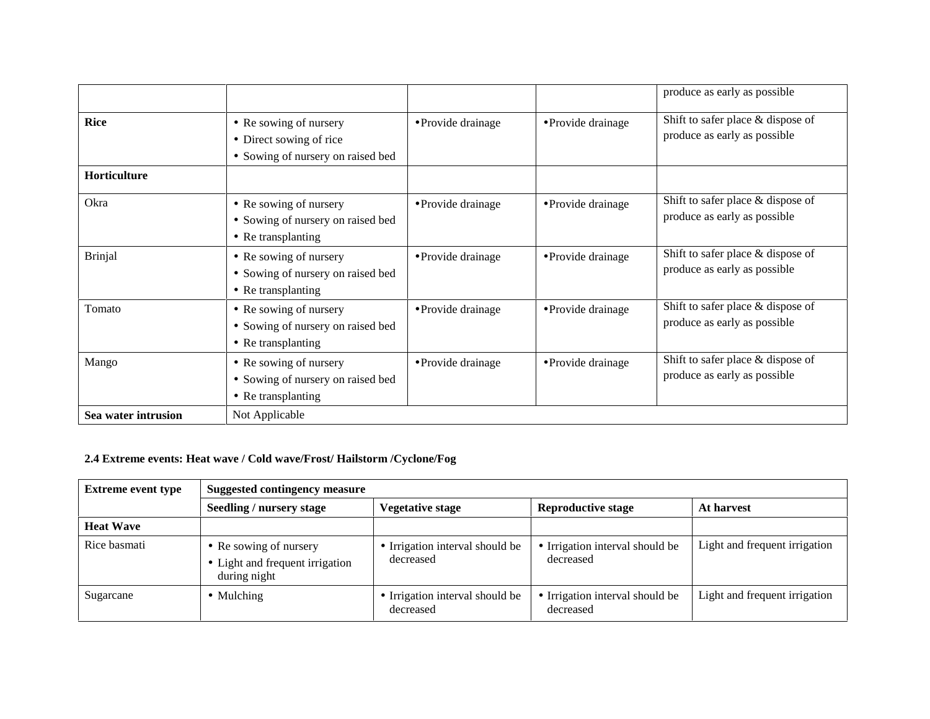|                     |                                                                                        |                    |                    | produce as early as possible                                      |
|---------------------|----------------------------------------------------------------------------------------|--------------------|--------------------|-------------------------------------------------------------------|
| <b>Rice</b>         | • Re sowing of nursery<br>• Direct sowing of rice<br>• Sowing of nursery on raised bed | • Provide drainage | • Provide drainage | Shift to safer place & dispose of<br>produce as early as possible |
| <b>Horticulture</b> |                                                                                        |                    |                    |                                                                   |
| Okra                | • Re sowing of nursery<br>• Sowing of nursery on raised bed<br>• Re transplanting      | • Provide drainage | • Provide drainage | Shift to safer place & dispose of<br>produce as early as possible |
| <b>Brinjal</b>      | • Re sowing of nursery<br>• Sowing of nursery on raised bed<br>• Re transplanting      | · Provide drainage | • Provide drainage | Shift to safer place & dispose of<br>produce as early as possible |
| Tomato              | • Re sowing of nursery<br>• Sowing of nursery on raised bed<br>• Re transplanting      | • Provide drainage | • Provide drainage | Shift to safer place & dispose of<br>produce as early as possible |
| Mango               | • Re sowing of nursery<br>• Sowing of nursery on raised bed<br>• Re transplanting      | • Provide drainage | • Provide drainage | Shift to safer place & dispose of<br>produce as early as possible |
| Sea water intrusion | Not Applicable                                                                         |                    |                    |                                                                   |

# **2.4 Extreme events: Heat wave / Cold wave/Frost/ Hailstorm /Cyclone/Fog**

| <b>Extreme event type</b> | <b>Suggested contingency measure</b>                                    |                                              |                                              |                               |  |
|---------------------------|-------------------------------------------------------------------------|----------------------------------------------|----------------------------------------------|-------------------------------|--|
|                           | Seedling / nursery stage<br><b>Vegetative stage</b>                     |                                              | <b>Reproductive stage</b>                    | At harvest                    |  |
| <b>Heat Wave</b>          |                                                                         |                                              |                                              |                               |  |
| Rice basmati              | • Re sowing of nursery<br>Light and frequent irrigation<br>during night | • Irrigation interval should be<br>decreased | • Irrigation interval should be<br>decreased | Light and frequent irrigation |  |
| Sugarcane                 | Mulching                                                                | • Irrigation interval should be<br>decreased | • Irrigation interval should be<br>decreased | Light and frequent irrigation |  |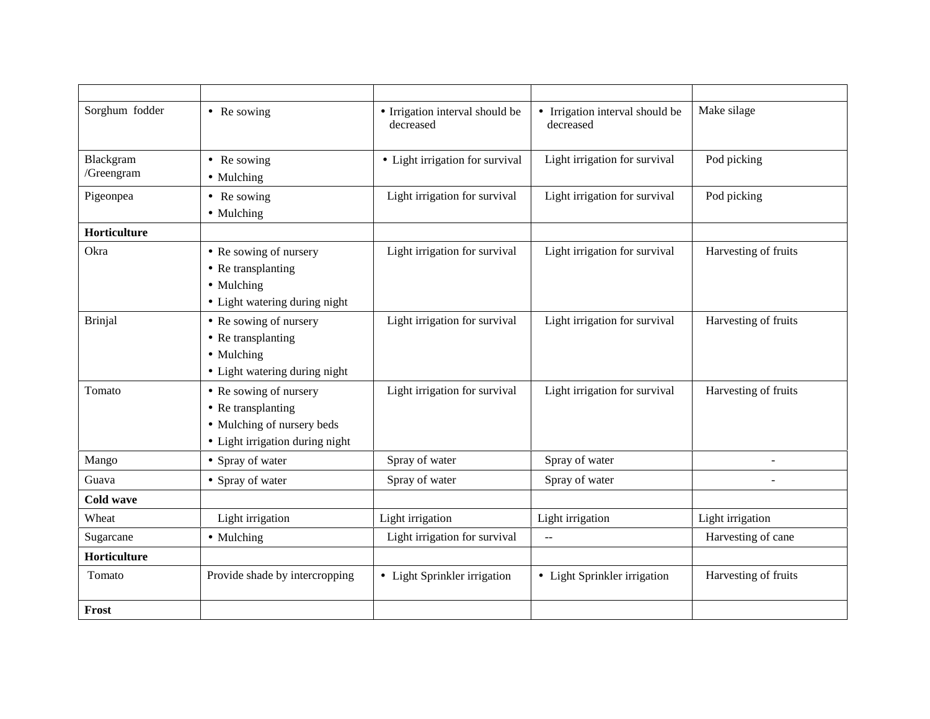| Sorghum fodder          | • Re sowing                                                                                                   | • Irrigation interval should be<br>decreased | • Irrigation interval should be<br>decreased | Make silage          |
|-------------------------|---------------------------------------------------------------------------------------------------------------|----------------------------------------------|----------------------------------------------|----------------------|
| Blackgram<br>/Greengram | • Re sowing<br>• Mulching                                                                                     | • Light irrigation for survival              | Light irrigation for survival                | Pod picking          |
| Pigeonpea               | • Re sowing<br>• Mulching                                                                                     | Light irrigation for survival                | Light irrigation for survival                | Pod picking          |
| Horticulture            |                                                                                                               |                                              |                                              |                      |
| Okra                    | • Re sowing of nursery<br>• Re transplanting<br>• Mulching<br>• Light watering during night                   | Light irrigation for survival                | Light irrigation for survival                | Harvesting of fruits |
| <b>Brinjal</b>          | • Re sowing of nursery<br>• Re transplanting<br>• Mulching<br>• Light watering during night                   | Light irrigation for survival                | Light irrigation for survival                | Harvesting of fruits |
| Tomato                  | • Re sowing of nursery<br>• Re transplanting<br>• Mulching of nursery beds<br>• Light irrigation during night | Light irrigation for survival                | Light irrigation for survival                | Harvesting of fruits |
| Mango                   | • Spray of water                                                                                              | Spray of water                               | Spray of water                               | $\blacksquare$       |
| Guava                   | • Spray of water                                                                                              | Spray of water                               | Spray of water                               |                      |
| Cold wave               |                                                                                                               |                                              |                                              |                      |
| Wheat                   | Light irrigation                                                                                              | Light irrigation                             | Light irrigation                             | Light irrigation     |
| Sugarcane               | • Mulching                                                                                                    | Light irrigation for survival                | $\mathbb{L}^{\mathbb{L}}$                    | Harvesting of cane   |
| Horticulture            |                                                                                                               |                                              |                                              |                      |
| Tomato                  | Provide shade by intercropping                                                                                | • Light Sprinkler irrigation                 | • Light Sprinkler irrigation                 | Harvesting of fruits |
| Frost                   |                                                                                                               |                                              |                                              |                      |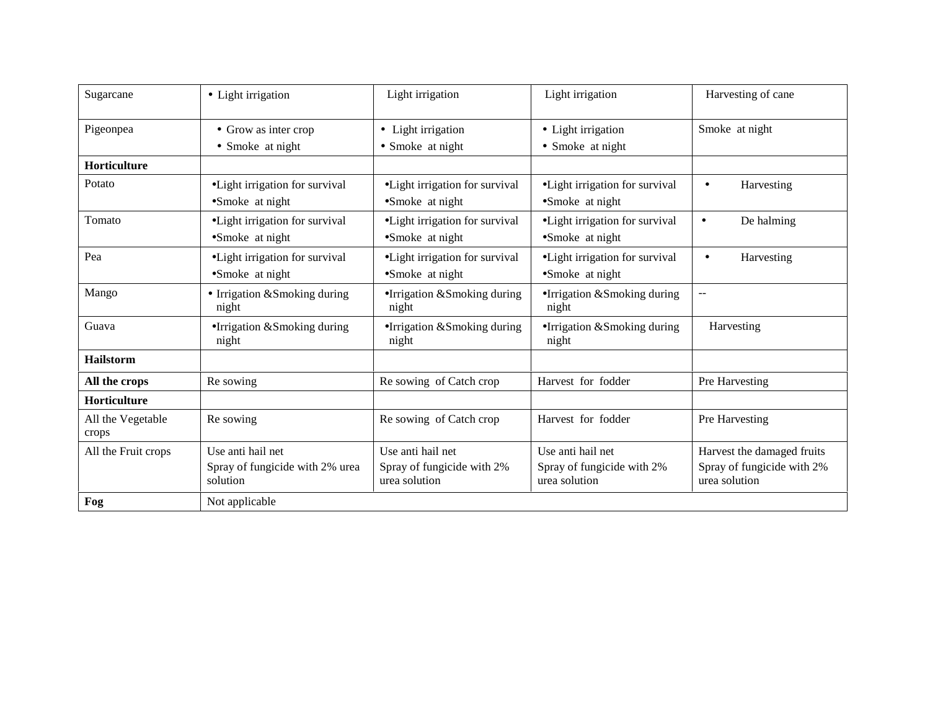| Sugarcane                  | • Light irrigation                          | Light irrigation                            | Light irrigation                            | Harvesting of cane                          |
|----------------------------|---------------------------------------------|---------------------------------------------|---------------------------------------------|---------------------------------------------|
| Pigeonpea                  | • Grow as inter crop                        | • Light irrigation                          | • Light irrigation                          | Smoke at night                              |
|                            | • Smoke at night                            | • Smoke at night                            | • Smoke at night                            |                                             |
| Horticulture               |                                             |                                             |                                             |                                             |
| Potato                     | •Light irrigation for survival              | • Light irrigation for survival             | •Light irrigation for survival              | Harvesting<br>$\bullet$                     |
|                            | •Smoke at night                             | •Smoke at night                             | •Smoke at night                             |                                             |
| Tomato                     | •Light irrigation for survival              | • Light irrigation for survival             | ·Light irrigation for survival              | De halming<br>$\bullet$                     |
|                            | •Smoke at night                             | •Smoke at night                             | •Smoke at night                             |                                             |
| Pea                        | • Light irrigation for survival             | • Light irrigation for survival             | ·Light irrigation for survival              | Harvesting<br>$\bullet$                     |
|                            | •Smoke at night                             | •Smoke at night                             | •Smoke at night                             |                                             |
| Mango                      | • Irrigation & Smoking during<br>night      | •Irrigation &Smoking during<br>night        | •Irrigation &Smoking during<br>night        | $\overline{\phantom{a}}$                    |
| Guava                      | •Irrigation &Smoking during<br>night        | •Irrigation & Smoking during<br>night       | •Irrigation &Smoking during<br>night        | Harvesting                                  |
| <b>Hailstorm</b>           |                                             |                                             |                                             |                                             |
| All the crops              | Re sowing                                   | Re sowing of Catch crop                     | Harvest for fodder                          | Pre Harvesting                              |
| <b>Horticulture</b>        |                                             |                                             |                                             |                                             |
| All the Vegetable<br>crops | Re sowing                                   | Re sowing of Catch crop                     | Harvest for fodder                          | Pre Harvesting                              |
| All the Fruit crops        | Use anti hail net                           | Use anti hail net                           | Use anti hail net                           | Harvest the damaged fruits                  |
|                            | Spray of fungicide with 2% urea<br>solution | Spray of fungicide with 2%<br>urea solution | Spray of fungicide with 2%<br>urea solution | Spray of fungicide with 2%<br>urea solution |
| Fog                        | Not applicable                              |                                             |                                             |                                             |
|                            |                                             |                                             |                                             |                                             |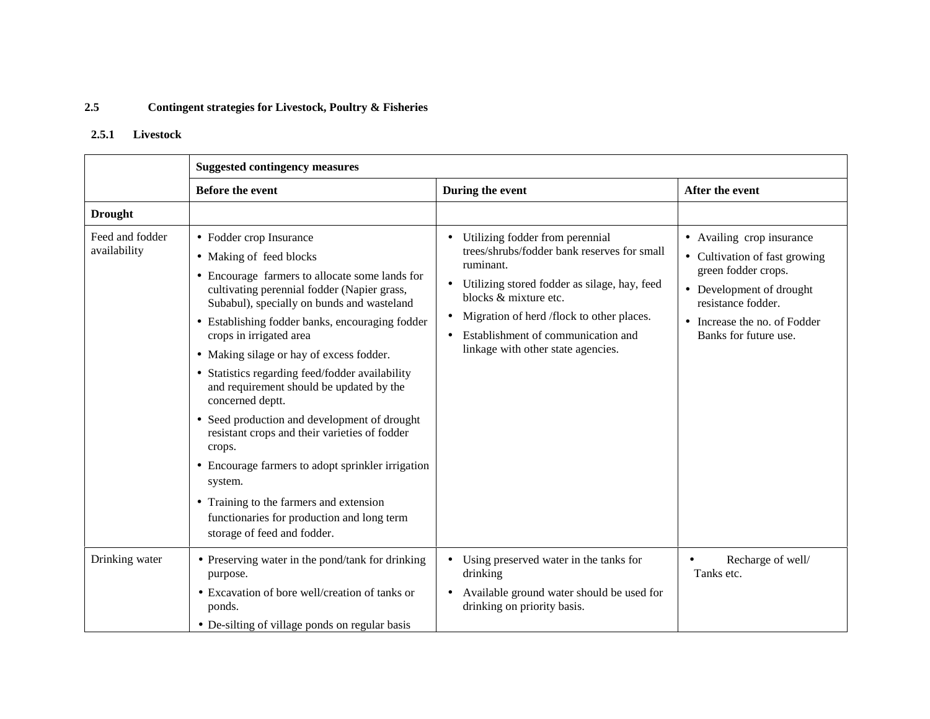# **2.5 Contingent strategies for Livestock, Poultry & Fisheries**

### **2.5.1 Livestock**

|                                 | <b>Suggested contingency measures</b>                                                                                                                                                                                                                                                                                                                                                                                                                                                                                                                                                                                                                                                                                                             |                                                                                                                                                                                                                                                                                                                                      |                                                                                                                                                                                              |  |
|---------------------------------|---------------------------------------------------------------------------------------------------------------------------------------------------------------------------------------------------------------------------------------------------------------------------------------------------------------------------------------------------------------------------------------------------------------------------------------------------------------------------------------------------------------------------------------------------------------------------------------------------------------------------------------------------------------------------------------------------------------------------------------------------|--------------------------------------------------------------------------------------------------------------------------------------------------------------------------------------------------------------------------------------------------------------------------------------------------------------------------------------|----------------------------------------------------------------------------------------------------------------------------------------------------------------------------------------------|--|
|                                 | <b>Before the event</b>                                                                                                                                                                                                                                                                                                                                                                                                                                                                                                                                                                                                                                                                                                                           | During the event                                                                                                                                                                                                                                                                                                                     | After the event                                                                                                                                                                              |  |
| <b>Drought</b>                  |                                                                                                                                                                                                                                                                                                                                                                                                                                                                                                                                                                                                                                                                                                                                                   |                                                                                                                                                                                                                                                                                                                                      |                                                                                                                                                                                              |  |
| Feed and fodder<br>availability | • Fodder crop Insurance<br>• Making of feed blocks<br>• Encourage farmers to allocate some lands for<br>cultivating perennial fodder (Napier grass,<br>Subabul), specially on bunds and wasteland<br>• Establishing fodder banks, encouraging fodder<br>crops in irrigated area<br>• Making silage or hay of excess fodder.<br>• Statistics regarding feed/fodder availability<br>and requirement should be updated by the<br>concerned deptt.<br>• Seed production and development of drought<br>resistant crops and their varieties of fodder<br>crops.<br>• Encourage farmers to adopt sprinkler irrigation<br>system.<br>• Training to the farmers and extension<br>functionaries for production and long term<br>storage of feed and fodder. | Utilizing fodder from perennial<br>trees/shrubs/fodder bank reserves for small<br>ruminant.<br>Utilizing stored fodder as silage, hay, feed<br>$\bullet$<br>blocks & mixture etc.<br>Migration of herd /flock to other places.<br>$\bullet$<br>Establishment of communication and<br>$\bullet$<br>linkage with other state agencies. | • Availing crop insurance<br>• Cultivation of fast growing<br>green fodder crops.<br>• Development of drought<br>resistance fodder.<br>• Increase the no. of Fodder<br>Banks for future use. |  |
| Drinking water                  | • Preserving water in the pond/tank for drinking<br>purpose.                                                                                                                                                                                                                                                                                                                                                                                                                                                                                                                                                                                                                                                                                      | Using preserved water in the tanks for<br>drinking                                                                                                                                                                                                                                                                                   | Recharge of well/<br>$\bullet$<br>Tanks etc.                                                                                                                                                 |  |
|                                 | • Excavation of bore well/creation of tanks or<br>ponds.                                                                                                                                                                                                                                                                                                                                                                                                                                                                                                                                                                                                                                                                                          | Available ground water should be used for<br>drinking on priority basis.                                                                                                                                                                                                                                                             |                                                                                                                                                                                              |  |
|                                 | • De-silting of village ponds on regular basis                                                                                                                                                                                                                                                                                                                                                                                                                                                                                                                                                                                                                                                                                                    |                                                                                                                                                                                                                                                                                                                                      |                                                                                                                                                                                              |  |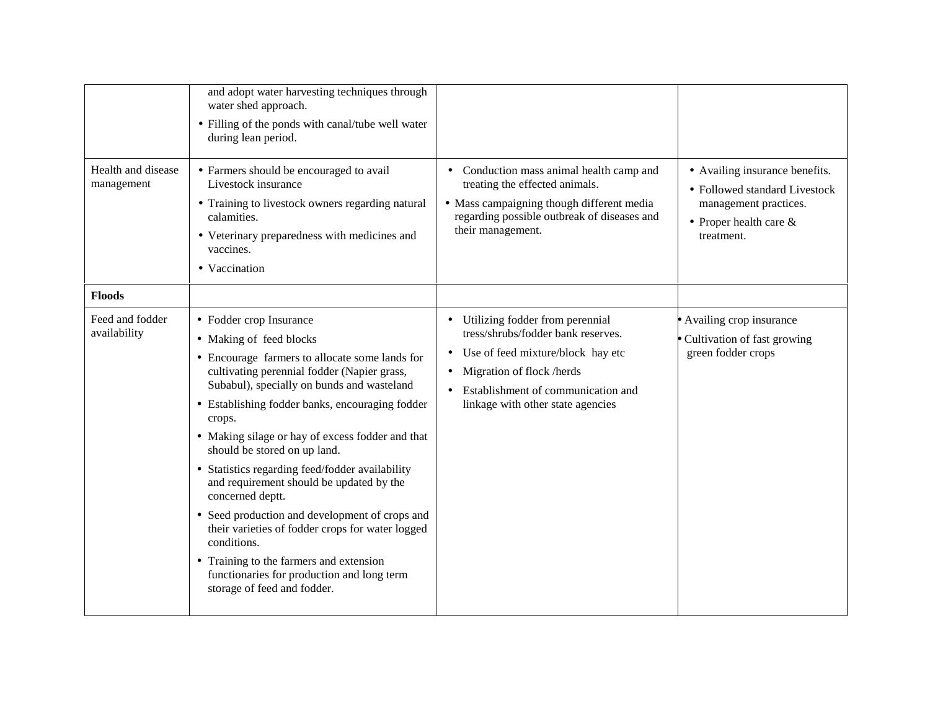| Health and disease<br>management                 | and adopt water harvesting techniques through<br>water shed approach.<br>• Filling of the ponds with canal/tube well water<br>during lean period.<br>• Farmers should be encouraged to avail<br>Livestock insurance<br>• Training to livestock owners regarding natural<br>calamities.<br>• Veterinary preparedness with medicines and<br>vaccines.<br>• Vaccination                                                                                                                                                                                                                                                                                                                                               | Conduction mass animal health camp and<br>$\bullet$<br>treating the effected animals.<br>• Mass campaigning though different media<br>regarding possible outbreak of diseases and<br>their management.                                                                 | • Availing insurance benefits.<br>• Followed standard Livestock<br>management practices.<br>• Proper health care $&$<br>treatment. |
|--------------------------------------------------|--------------------------------------------------------------------------------------------------------------------------------------------------------------------------------------------------------------------------------------------------------------------------------------------------------------------------------------------------------------------------------------------------------------------------------------------------------------------------------------------------------------------------------------------------------------------------------------------------------------------------------------------------------------------------------------------------------------------|------------------------------------------------------------------------------------------------------------------------------------------------------------------------------------------------------------------------------------------------------------------------|------------------------------------------------------------------------------------------------------------------------------------|
| <b>Floods</b><br>Feed and fodder<br>availability | • Fodder crop Insurance<br>• Making of feed blocks<br>• Encourage farmers to allocate some lands for<br>cultivating perennial fodder (Napier grass,<br>Subabul), specially on bunds and wasteland<br>• Establishing fodder banks, encouraging fodder<br>crops.<br>• Making silage or hay of excess fodder and that<br>should be stored on up land.<br>• Statistics regarding feed/fodder availability<br>and requirement should be updated by the<br>concerned deptt.<br>• Seed production and development of crops and<br>their varieties of fodder crops for water logged<br>conditions.<br>• Training to the farmers and extension<br>functionaries for production and long term<br>storage of feed and fodder. | Utilizing fodder from perennial<br>$\bullet$<br>tress/shrubs/fodder bank reserves.<br>Use of feed mixture/block hay etc<br>$\bullet$<br>Migration of flock /herds<br>$\bullet$<br>Establishment of communication and<br>$\bullet$<br>linkage with other state agencies | Availing crop insurance<br>Cultivation of fast growing<br>green fodder crops                                                       |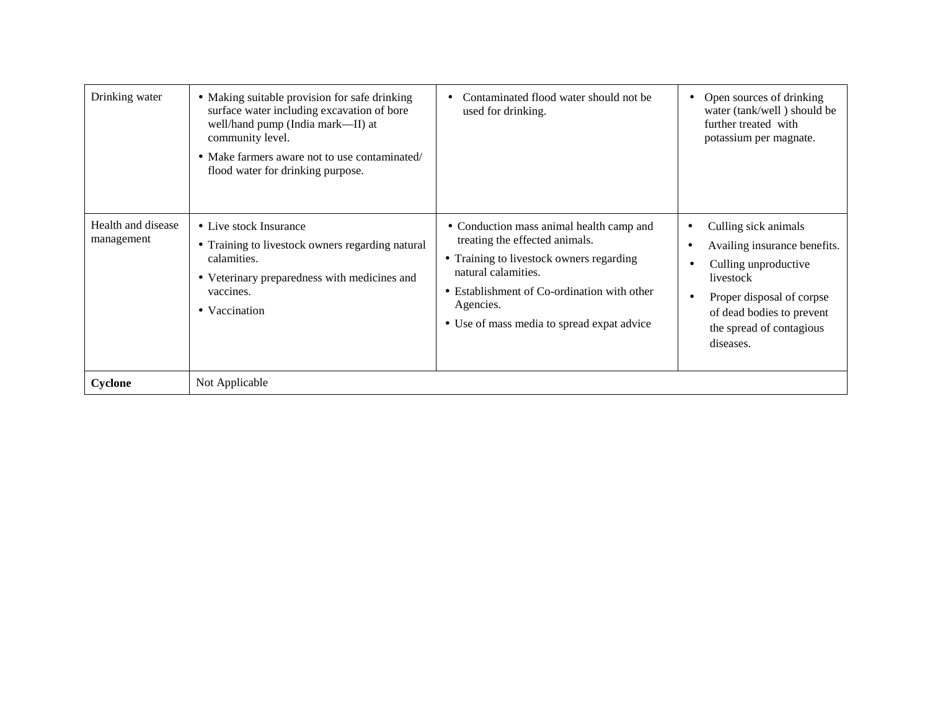| Drinking water                   | • Making suitable provision for safe drinking<br>surface water including excavation of bore<br>well/hand pump (India mark—II) at<br>community level.<br>• Make farmers aware not to use contaminated/<br>flood water for drinking purpose. | Contaminated flood water should not be<br>used for drinking.                                                                                                                                                                                            | Open sources of drinking<br>water (tank/well) should be<br>further treated with<br>potassium per magnate.                                                                                                                           |
|----------------------------------|--------------------------------------------------------------------------------------------------------------------------------------------------------------------------------------------------------------------------------------------|---------------------------------------------------------------------------------------------------------------------------------------------------------------------------------------------------------------------------------------------------------|-------------------------------------------------------------------------------------------------------------------------------------------------------------------------------------------------------------------------------------|
| Health and disease<br>management | • Live stock Insurance<br>• Training to livestock owners regarding natural<br>calamities.<br>• Veterinary preparedness with medicines and<br>vaccines.<br>• Vaccination                                                                    | • Conduction mass animal health camp and<br>treating the effected animals.<br>• Training to livestock owners regarding<br>natural calamities.<br>• Establishment of Co-ordination with other<br>Agencies.<br>• Use of mass media to spread expat advice | Culling sick animals<br>$\bullet$<br>Availing insurance benefits.<br>$\bullet$<br>Culling unproductive<br>livestock<br>Proper disposal of corpse<br>$\bullet$<br>of dead bodies to prevent<br>the spread of contagious<br>diseases. |
| Cyclone                          | Not Applicable                                                                                                                                                                                                                             |                                                                                                                                                                                                                                                         |                                                                                                                                                                                                                                     |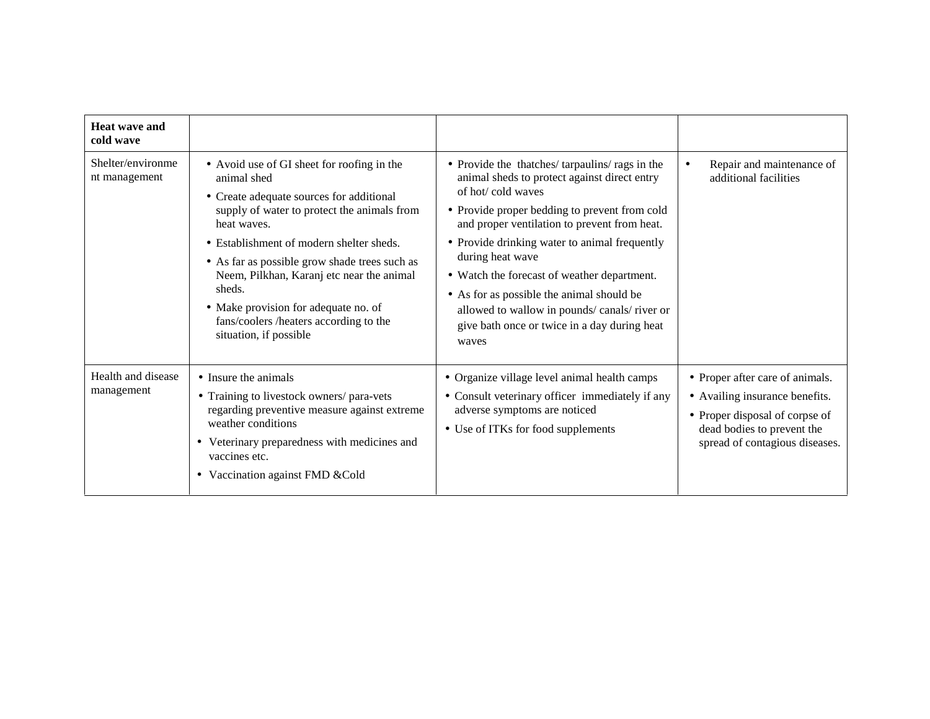| Heat wave and<br>cold wave         |                                                                                                                                                                                                                                                                                                                                                                                                                                     |                                                                                                                                                                                                                                                                                                                                                                                                                                                                                              |                                                                                                                                                                     |
|------------------------------------|-------------------------------------------------------------------------------------------------------------------------------------------------------------------------------------------------------------------------------------------------------------------------------------------------------------------------------------------------------------------------------------------------------------------------------------|----------------------------------------------------------------------------------------------------------------------------------------------------------------------------------------------------------------------------------------------------------------------------------------------------------------------------------------------------------------------------------------------------------------------------------------------------------------------------------------------|---------------------------------------------------------------------------------------------------------------------------------------------------------------------|
| Shelter/environme<br>nt management | • Avoid use of GI sheet for roofing in the<br>animal shed<br>• Create adequate sources for additional<br>supply of water to protect the animals from<br>heat waves.<br>• Establishment of modern shelter sheds.<br>• As far as possible grow shade trees such as<br>Neem, Pilkhan, Karanj etc near the animal<br>sheds.<br>• Make provision for adequate no. of<br>fans/coolers /heaters according to the<br>situation, if possible | • Provide the thatches/tarpaulins/rags in the<br>animal sheds to protect against direct entry<br>of hot/cold waves<br>• Provide proper bedding to prevent from cold<br>and proper ventilation to prevent from heat.<br>• Provide drinking water to animal frequently<br>during heat wave<br>• Watch the forecast of weather department.<br>• As for as possible the animal should be<br>allowed to wallow in pounds/canals/river or<br>give bath once or twice in a day during heat<br>waves | Repair and maintenance of<br>additional facilities                                                                                                                  |
| Health and disease<br>management   | • Insure the animals<br>• Training to livestock owners/ para-vets<br>regarding preventive measure against extreme<br>weather conditions<br>• Veterinary preparedness with medicines and<br>vaccines etc.<br>• Vaccination against FMD & Cold                                                                                                                                                                                        | • Organize village level animal health camps<br>• Consult veterinary officer immediately if any<br>adverse symptoms are noticed<br>• Use of ITKs for food supplements                                                                                                                                                                                                                                                                                                                        | • Proper after care of animals.<br>• Availing insurance benefits.<br>• Proper disposal of corpse of<br>dead bodies to prevent the<br>spread of contagious diseases. |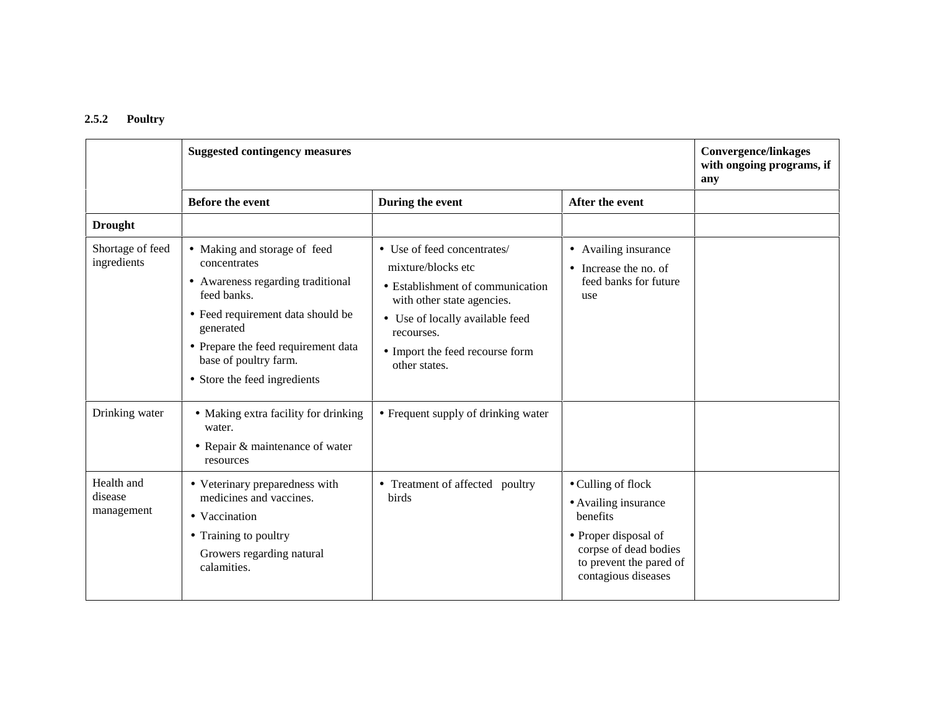## **2.5.2 Poultry**

|                                     | <b>Suggested contingency measures</b>                                                                                                                                                                                                              |                                                                                                                                                                                                                          |                                                                                                                                                           | <b>Convergence/linkages</b><br>with ongoing programs, if<br>any |
|-------------------------------------|----------------------------------------------------------------------------------------------------------------------------------------------------------------------------------------------------------------------------------------------------|--------------------------------------------------------------------------------------------------------------------------------------------------------------------------------------------------------------------------|-----------------------------------------------------------------------------------------------------------------------------------------------------------|-----------------------------------------------------------------|
|                                     | <b>Before the event</b>                                                                                                                                                                                                                            | During the event                                                                                                                                                                                                         | After the event                                                                                                                                           |                                                                 |
| <b>Drought</b>                      |                                                                                                                                                                                                                                                    |                                                                                                                                                                                                                          |                                                                                                                                                           |                                                                 |
| Shortage of feed<br>ingredients     | • Making and storage of feed<br>concentrates<br>• Awareness regarding traditional<br>feed banks.<br>• Feed requirement data should be<br>generated<br>• Prepare the feed requirement data<br>base of poultry farm.<br>• Store the feed ingredients | • Use of feed concentrates/<br>mixture/blocks etc<br>• Establishment of communication<br>with other state agencies.<br>• Use of locally available feed<br>recourses.<br>• Import the feed recourse form<br>other states. | • Availing insurance<br>• Increase the no. of<br>feed banks for future<br>use                                                                             |                                                                 |
| Drinking water                      | • Making extra facility for drinking<br>water.<br>• Repair & maintenance of water<br>resources                                                                                                                                                     | • Frequent supply of drinking water                                                                                                                                                                                      |                                                                                                                                                           |                                                                 |
| Health and<br>disease<br>management | • Veterinary preparedness with<br>medicines and vaccines.<br>• Vaccination<br>• Training to poultry<br>Growers regarding natural<br>calamities.                                                                                                    | • Treatment of affected poultry<br>birds                                                                                                                                                                                 | • Culling of flock<br>• Availing insurance<br>benefits<br>• Proper disposal of<br>corpse of dead bodies<br>to prevent the pared of<br>contagious diseases |                                                                 |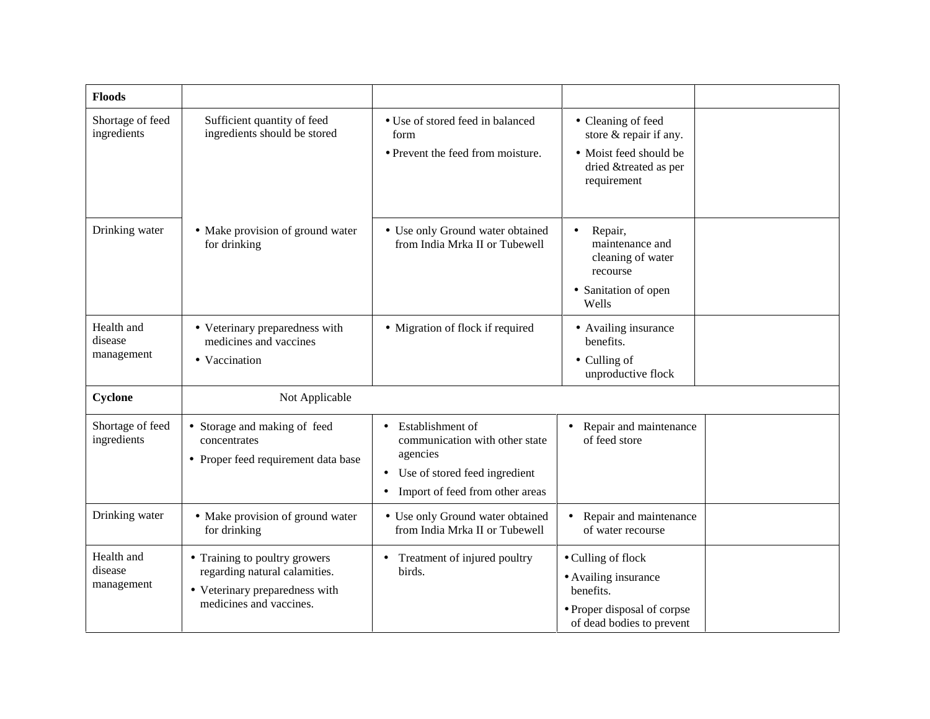| <b>Floods</b>                       |                                                                                                                             |                                                                                                                                                 |                                                                                                                             |  |
|-------------------------------------|-----------------------------------------------------------------------------------------------------------------------------|-------------------------------------------------------------------------------------------------------------------------------------------------|-----------------------------------------------------------------------------------------------------------------------------|--|
| Shortage of feed<br>ingredients     | Sufficient quantity of feed<br>ingredients should be stored                                                                 | • Use of stored feed in balanced<br>form<br>• Prevent the feed from moisture.                                                                   | • Cleaning of feed<br>store & repair if any.<br>• Moist feed should be<br>dried &treated as per<br>requirement              |  |
| Drinking water                      | • Make provision of ground water<br>for drinking                                                                            | • Use only Ground water obtained<br>from India Mrka II or Tubewell                                                                              | Repair,<br>$\bullet$<br>maintenance and<br>cleaning of water<br>recourse<br>• Sanitation of open<br>Wells                   |  |
| Health and<br>disease<br>management | • Veterinary preparedness with<br>medicines and vaccines<br>• Vaccination                                                   | • Migration of flock if required                                                                                                                | • Availing insurance<br>benefits.<br>• Culling of<br>unproductive flock                                                     |  |
| Cyclone                             | Not Applicable                                                                                                              |                                                                                                                                                 |                                                                                                                             |  |
| Shortage of feed<br>ingredients     | • Storage and making of feed<br>concentrates<br>• Proper feed requirement data base                                         | Establishment of<br>communication with other state<br>agencies<br>Use of stored feed ingredient<br>$\bullet$<br>Import of feed from other areas | Repair and maintenance<br>of feed store                                                                                     |  |
| Drinking water                      | • Make provision of ground water<br>for drinking                                                                            | • Use only Ground water obtained<br>from India Mrka II or Tubewell                                                                              | Repair and maintenance<br>$\bullet$<br>of water recourse                                                                    |  |
| Health and<br>disease<br>management | • Training to poultry growers<br>regarding natural calamities.<br>• Veterinary preparedness with<br>medicines and vaccines. | Treatment of injured poultry<br>birds.                                                                                                          | $\bullet$ Culling of flock<br>• Availing insurance<br>benefits.<br>• Proper disposal of corpse<br>of dead bodies to prevent |  |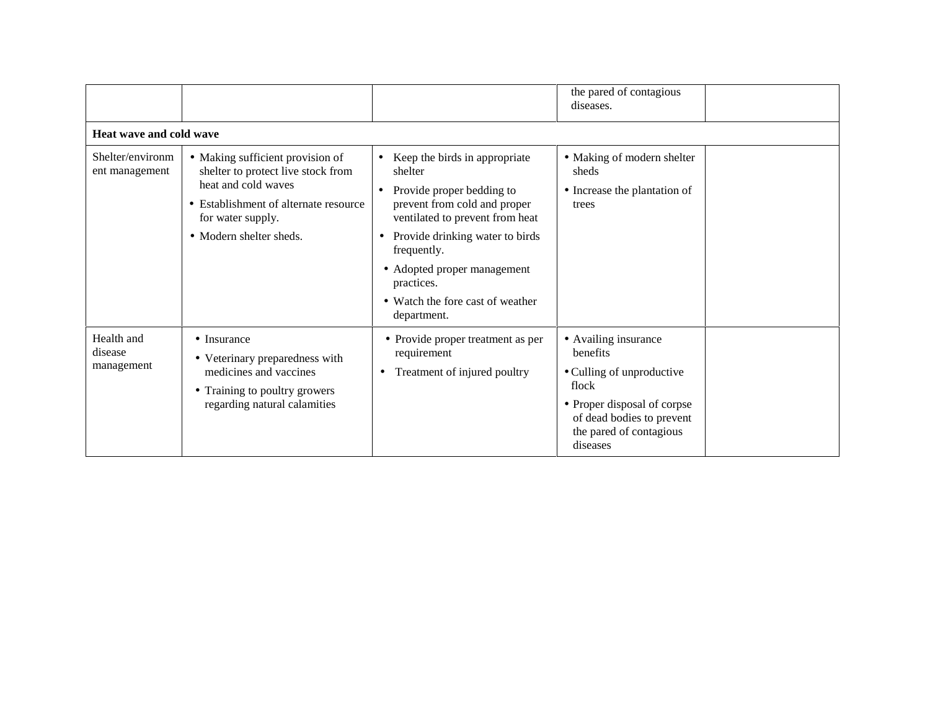|                                     |                                                                                                                                                                                        |                                                                                                                                                                                                                                                                                                                                   | the pared of contagious<br>diseases.                                                                                                                                      |  |  |  |
|-------------------------------------|----------------------------------------------------------------------------------------------------------------------------------------------------------------------------------------|-----------------------------------------------------------------------------------------------------------------------------------------------------------------------------------------------------------------------------------------------------------------------------------------------------------------------------------|---------------------------------------------------------------------------------------------------------------------------------------------------------------------------|--|--|--|
| Heat wave and cold wave             |                                                                                                                                                                                        |                                                                                                                                                                                                                                                                                                                                   |                                                                                                                                                                           |  |  |  |
| Shelter/environm<br>ent management  | • Making sufficient provision of<br>shelter to protect live stock from<br>heat and cold waves<br>• Establishment of alternate resource<br>for water supply.<br>• Modern shelter sheds. | Keep the birds in appropriate<br>$\bullet$<br>shelter<br>Provide proper bedding to<br>$\bullet$<br>prevent from cold and proper<br>ventilated to prevent from heat<br>Provide drinking water to birds<br>$\bullet$<br>frequently.<br>• Adopted proper management<br>practices.<br>• Watch the fore cast of weather<br>department. | • Making of modern shelter<br>sheds<br>• Increase the plantation of<br>trees                                                                                              |  |  |  |
| Health and<br>disease<br>management | • Insurance<br>• Veterinary preparedness with<br>medicines and vaccines<br>• Training to poultry growers<br>regarding natural calamities                                               | • Provide proper treatment as per<br>requirement<br>Treatment of injured poultry<br>٠                                                                                                                                                                                                                                             | • Availing insurance<br>benefits<br>• Culling of unproductive<br>flock<br>• Proper disposal of corpse<br>of dead bodies to prevent<br>the pared of contagious<br>diseases |  |  |  |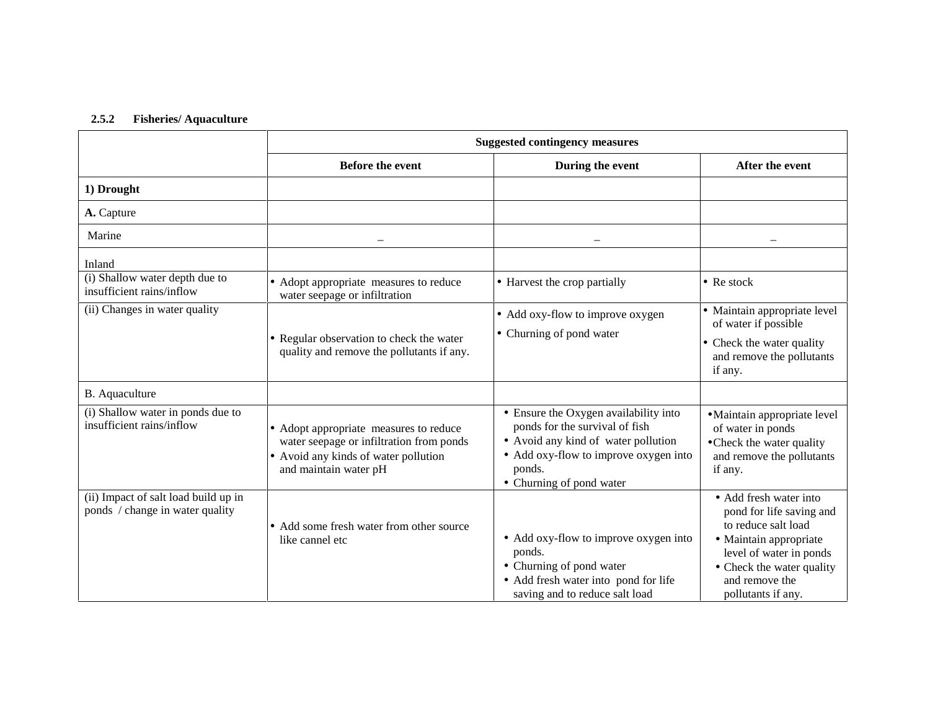## **2.5.2 Fisheries/ Aquaculture**

|                                                                         | <b>Suggested contingency measures</b>                                                                                                               |                                                                                                                                                                                               |                                                                                                                                                                                                     |
|-------------------------------------------------------------------------|-----------------------------------------------------------------------------------------------------------------------------------------------------|-----------------------------------------------------------------------------------------------------------------------------------------------------------------------------------------------|-----------------------------------------------------------------------------------------------------------------------------------------------------------------------------------------------------|
|                                                                         | <b>Before the event</b>                                                                                                                             | During the event                                                                                                                                                                              | After the event                                                                                                                                                                                     |
| 1) Drought                                                              |                                                                                                                                                     |                                                                                                                                                                                               |                                                                                                                                                                                                     |
| A. Capture                                                              |                                                                                                                                                     |                                                                                                                                                                                               |                                                                                                                                                                                                     |
| Marine                                                                  |                                                                                                                                                     |                                                                                                                                                                                               |                                                                                                                                                                                                     |
| Inland                                                                  |                                                                                                                                                     |                                                                                                                                                                                               |                                                                                                                                                                                                     |
| (i) Shallow water depth due to<br>insufficient rains/inflow             | • Adopt appropriate measures to reduce<br>water seepage or infiltration                                                                             | • Harvest the crop partially                                                                                                                                                                  | $\bullet$ Re stock                                                                                                                                                                                  |
| (ii) Changes in water quality                                           | • Regular observation to check the water<br>quality and remove the pollutants if any.                                                               | • Add oxy-flow to improve oxygen<br>• Churning of pond water                                                                                                                                  | • Maintain appropriate level<br>of water if possible<br>• Check the water quality<br>and remove the pollutants<br>if any.                                                                           |
| B. Aquaculture                                                          |                                                                                                                                                     |                                                                                                                                                                                               |                                                                                                                                                                                                     |
| (i) Shallow water in ponds due to<br>insufficient rains/inflow          | • Adopt appropriate measures to reduce<br>water seepage or infiltration from ponds<br>• Avoid any kinds of water pollution<br>and maintain water pH | • Ensure the Oxygen availability into<br>ponds for the survival of fish<br>• Avoid any kind of water pollution<br>• Add oxy-flow to improve oxygen into<br>ponds.<br>• Churning of pond water | · Maintain appropriate level<br>of water in ponds<br>• Check the water quality<br>and remove the pollutants<br>if any.                                                                              |
| (ii) Impact of salt load build up in<br>ponds / change in water quality | • Add some fresh water from other source<br>like cannel etc                                                                                         | • Add oxy-flow to improve oxygen into<br>ponds.<br>• Churning of pond water<br>• Add fresh water into pond for life<br>saving and to reduce salt load                                         | • Add fresh water into<br>pond for life saving and<br>to reduce salt load<br>• Maintain appropriate<br>level of water in ponds<br>• Check the water quality<br>and remove the<br>pollutants if any. |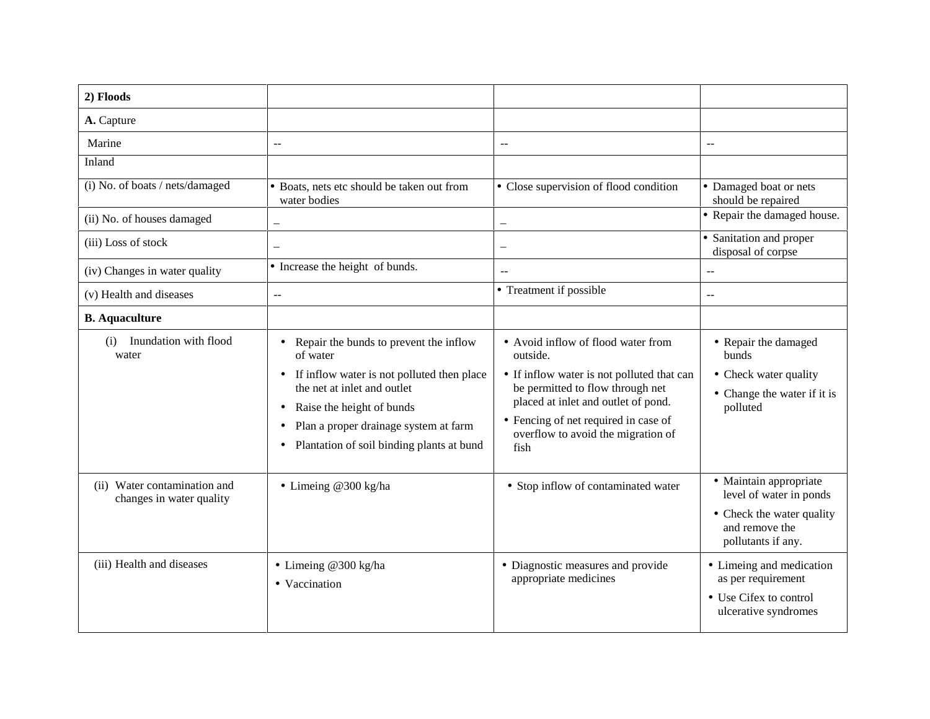| 2) Floods                                                |                                                                                                                                                                                                                                                                                                                     |                                                                                                                                                                                                                                                               |                                                                                                                        |
|----------------------------------------------------------|---------------------------------------------------------------------------------------------------------------------------------------------------------------------------------------------------------------------------------------------------------------------------------------------------------------------|---------------------------------------------------------------------------------------------------------------------------------------------------------------------------------------------------------------------------------------------------------------|------------------------------------------------------------------------------------------------------------------------|
| A. Capture                                               |                                                                                                                                                                                                                                                                                                                     |                                                                                                                                                                                                                                                               |                                                                                                                        |
| Marine                                                   | $-$                                                                                                                                                                                                                                                                                                                 | $\overline{a}$                                                                                                                                                                                                                                                | $\sim$                                                                                                                 |
| Inland                                                   |                                                                                                                                                                                                                                                                                                                     |                                                                                                                                                                                                                                                               |                                                                                                                        |
| (i) No. of boats / nets/damaged                          | • Boats, nets etc should be taken out from<br>water bodies                                                                                                                                                                                                                                                          | • Close supervision of flood condition                                                                                                                                                                                                                        | • Damaged boat or nets<br>should be repaired                                                                           |
| (ii) No. of houses damaged                               | $\overline{\phantom{0}}$                                                                                                                                                                                                                                                                                            | $\qquad \qquad -$                                                                                                                                                                                                                                             | • Repair the damaged house.                                                                                            |
| (iii) Loss of stock                                      | $\overline{\phantom{0}}$                                                                                                                                                                                                                                                                                            | $\qquad \qquad$                                                                                                                                                                                                                                               | • Sanitation and proper<br>disposal of corpse                                                                          |
| (iv) Changes in water quality                            | • Increase the height of bunds.                                                                                                                                                                                                                                                                                     | $\overline{a}$                                                                                                                                                                                                                                                | $-$                                                                                                                    |
| (v) Health and diseases                                  | $\overline{a}$                                                                                                                                                                                                                                                                                                      | • Treatment if possible                                                                                                                                                                                                                                       | $-$                                                                                                                    |
| <b>B.</b> Aquaculture                                    |                                                                                                                                                                                                                                                                                                                     |                                                                                                                                                                                                                                                               |                                                                                                                        |
| Inundation with flood<br>(i)<br>water                    | Repair the bunds to prevent the inflow<br>$\bullet$<br>of water<br>If inflow water is not polluted then place<br>$\bullet$<br>the net at inlet and outlet<br>Raise the height of bunds<br>$\bullet$<br>Plan a proper drainage system at farm<br>$\bullet$<br>Plantation of soil binding plants at bund<br>$\bullet$ | • Avoid inflow of flood water from<br>outside.<br>• If inflow water is not polluted that can<br>be permitted to flow through net<br>placed at inlet and outlet of pond.<br>• Fencing of net required in case of<br>overflow to avoid the migration of<br>fish | • Repair the damaged<br>bunds<br>• Check water quality<br>• Change the water if it is<br>polluted                      |
| (ii) Water contamination and<br>changes in water quality | • Limeing $@300$ kg/ha                                                                                                                                                                                                                                                                                              | • Stop inflow of contaminated water                                                                                                                                                                                                                           | • Maintain appropriate<br>level of water in ponds<br>• Check the water quality<br>and remove the<br>pollutants if any. |
| (iii) Health and diseases                                | • Limeing @300 kg/ha<br>• Vaccination                                                                                                                                                                                                                                                                               | • Diagnostic measures and provide<br>appropriate medicines                                                                                                                                                                                                    | • Limeing and medication<br>as per requirement<br>• Use Cifex to control<br>ulcerative syndromes                       |